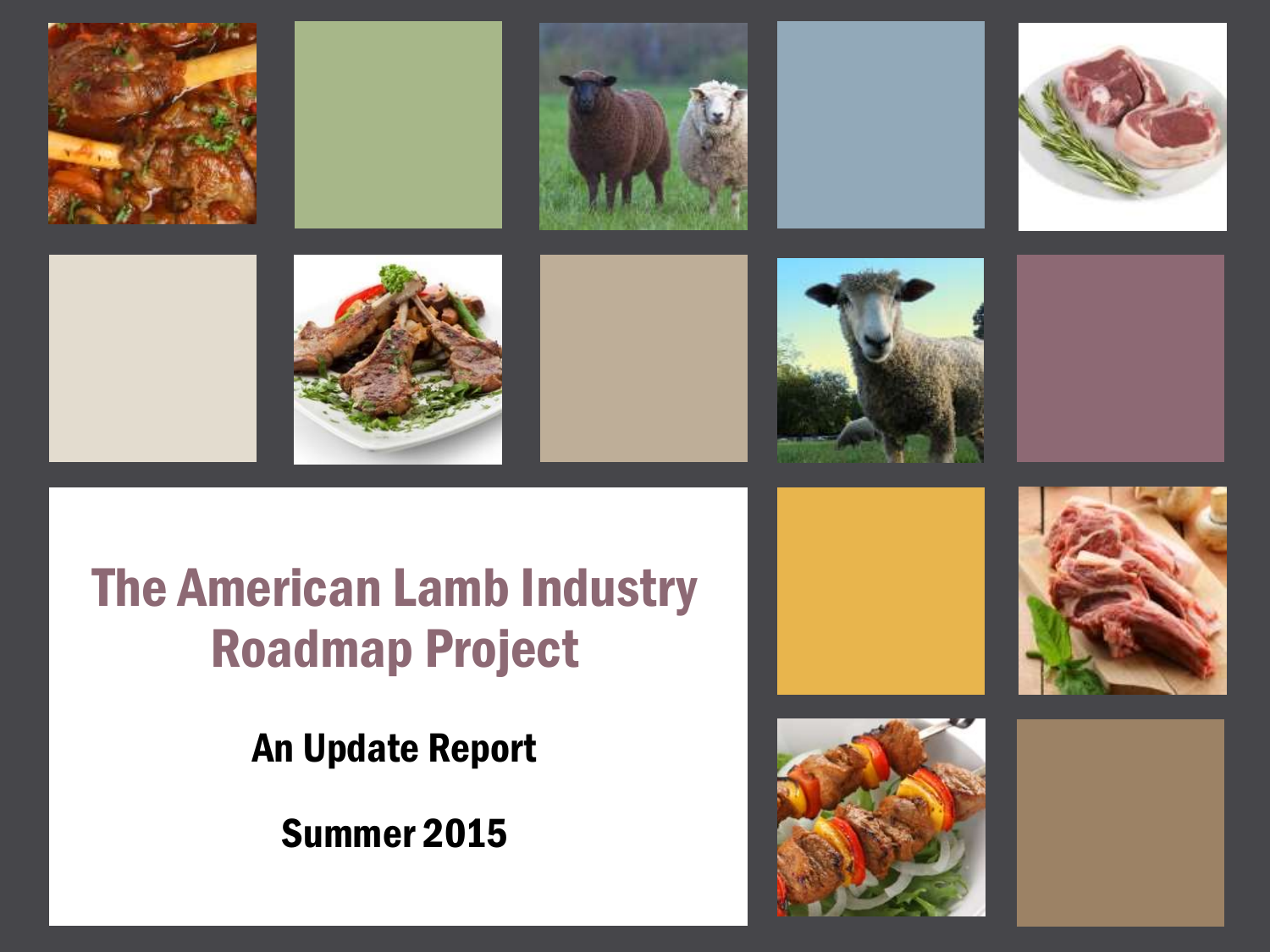

#### The American Lamb Industry Roadmap Project

An Update Report

Summer 2015



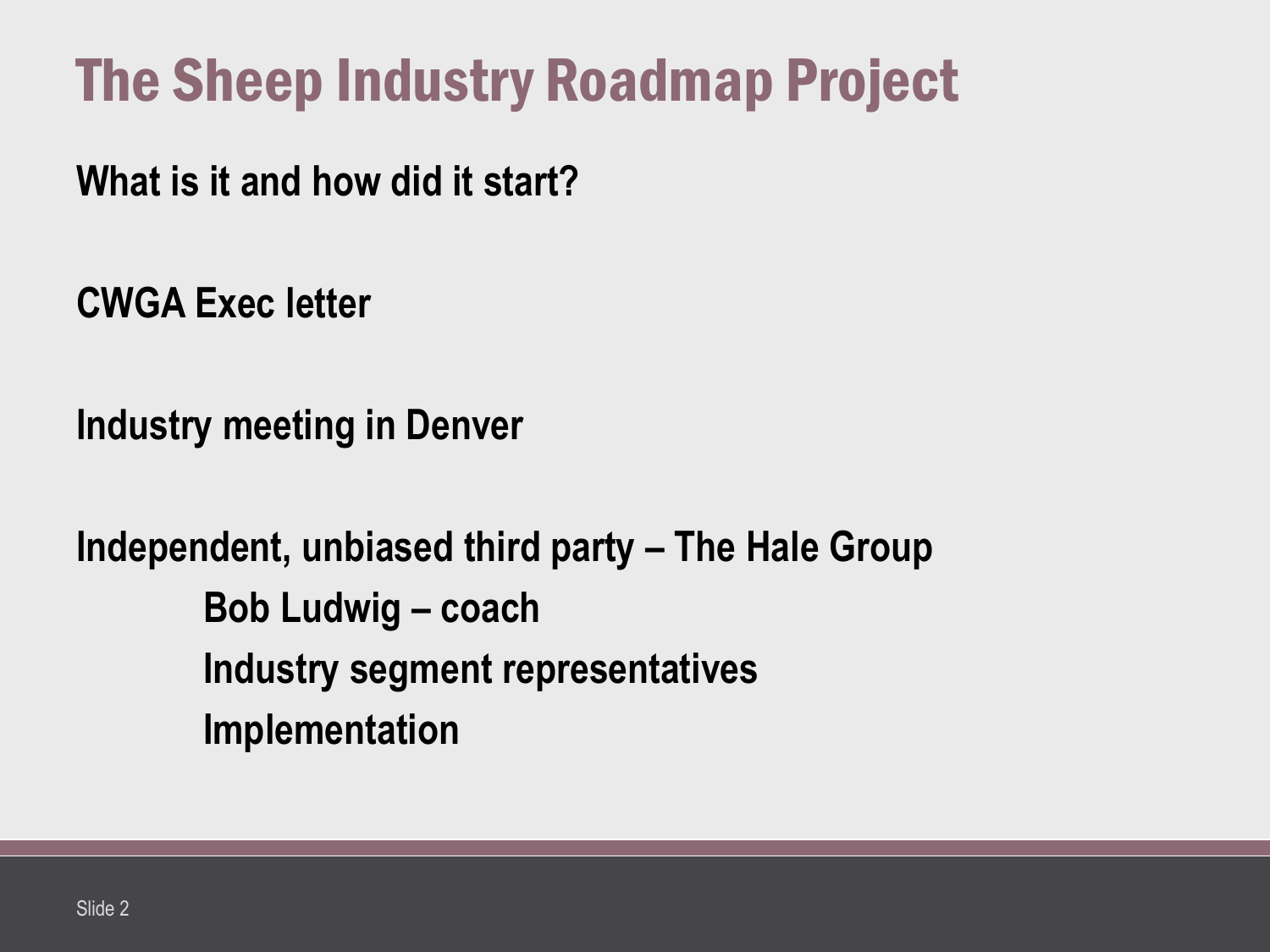## The Sheep Industry Roadmap Project

**What is it and how did it start?**

**CWGA Exec letter**

**Industry meeting in Denver**

**Independent, unbiased third party – The Hale Group Bob Ludwig – coach Industry segment representatives Implementation**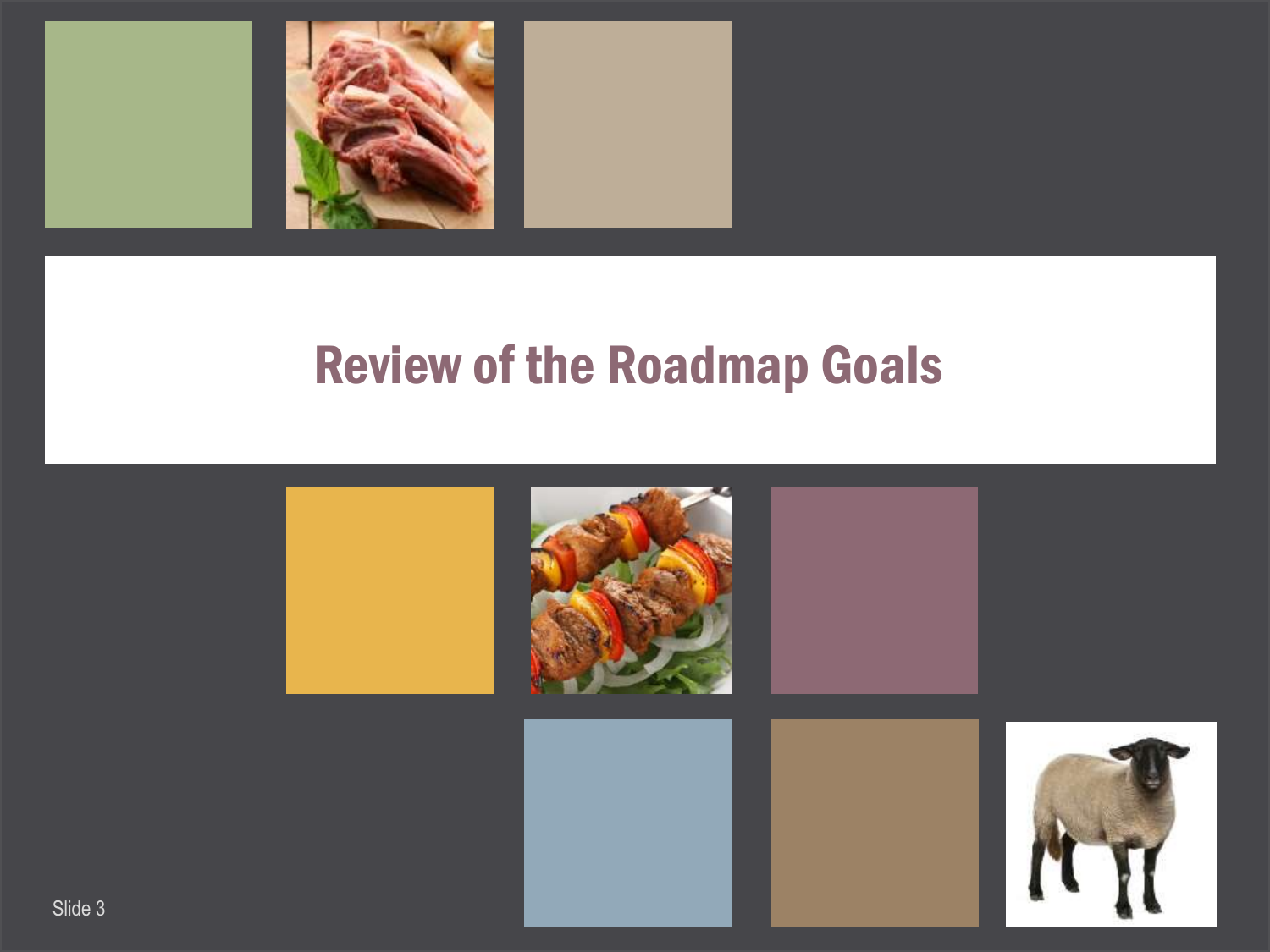

#### Review of the Roadmap Goals

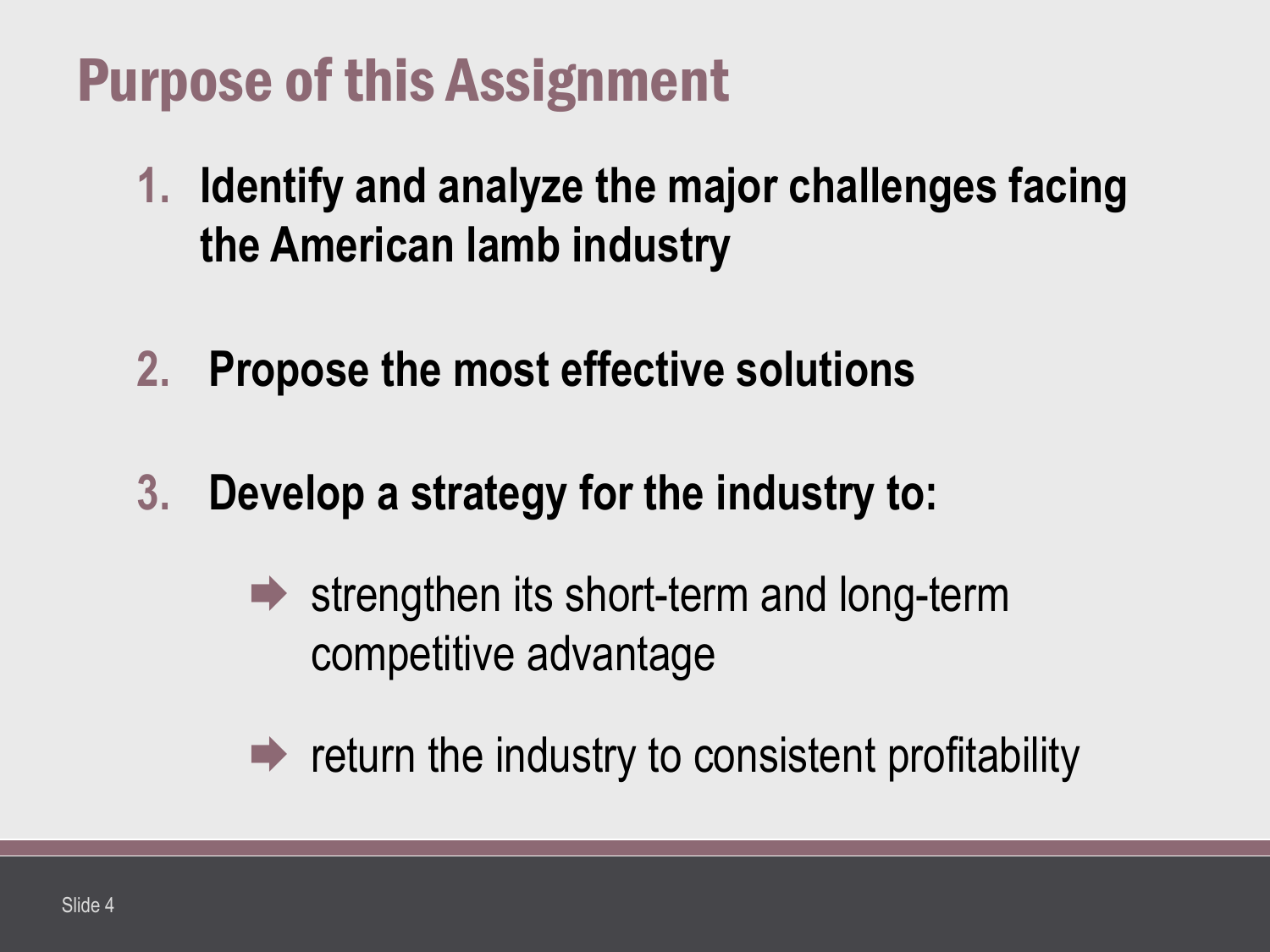## Purpose of this Assignment

- **1. Identify and analyze the major challenges facing the American lamb industry**
- **2. Propose the most effective solutions**
- **3. Develop a strategy for the industry to:**
	- $\rightarrow$  strengthen its short-term and long-term competitive advantage
	- $\rightarrow$  return the industry to consistent profitability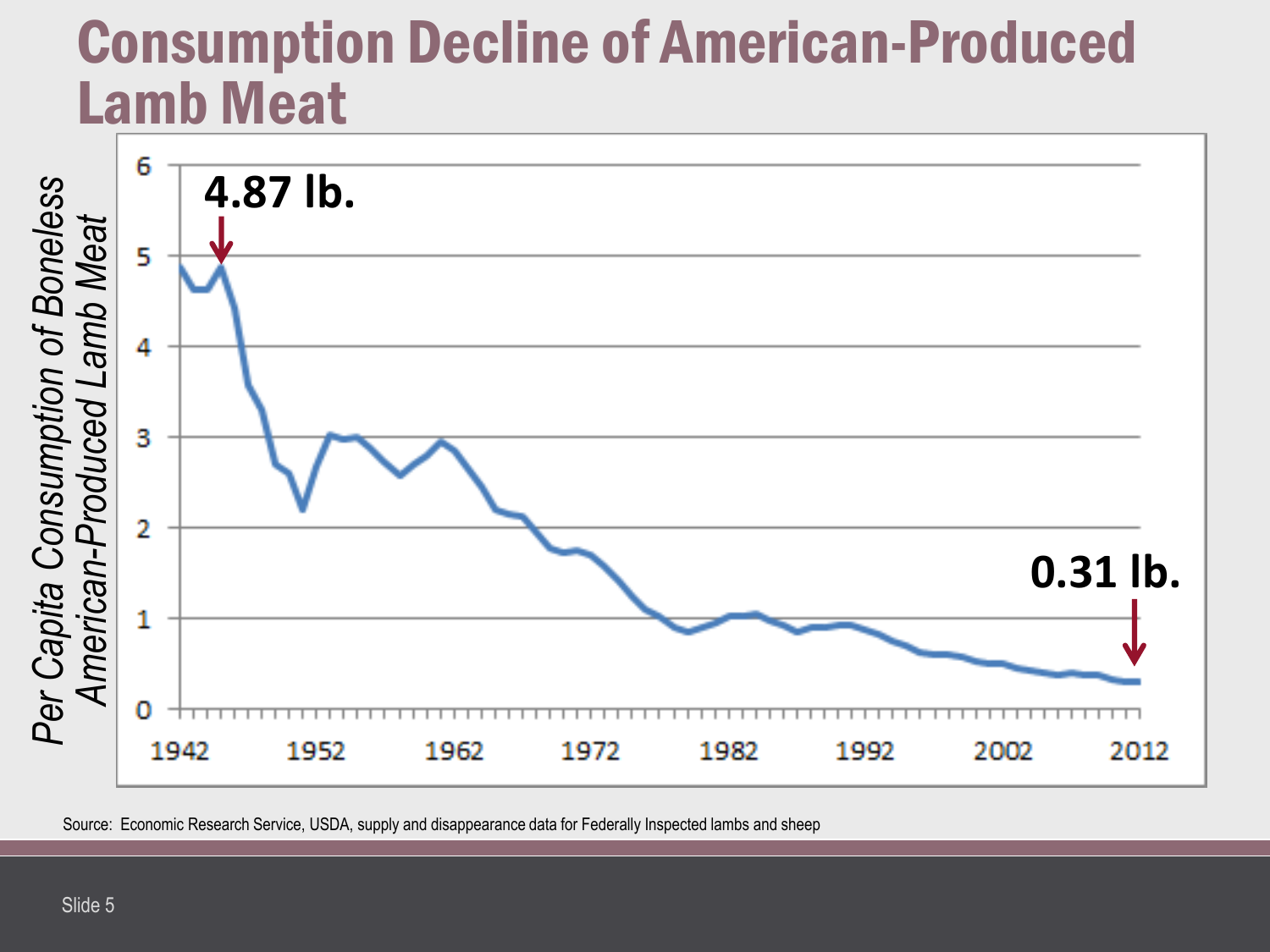#### Consumption Decline of American-Produced Lamb Meat

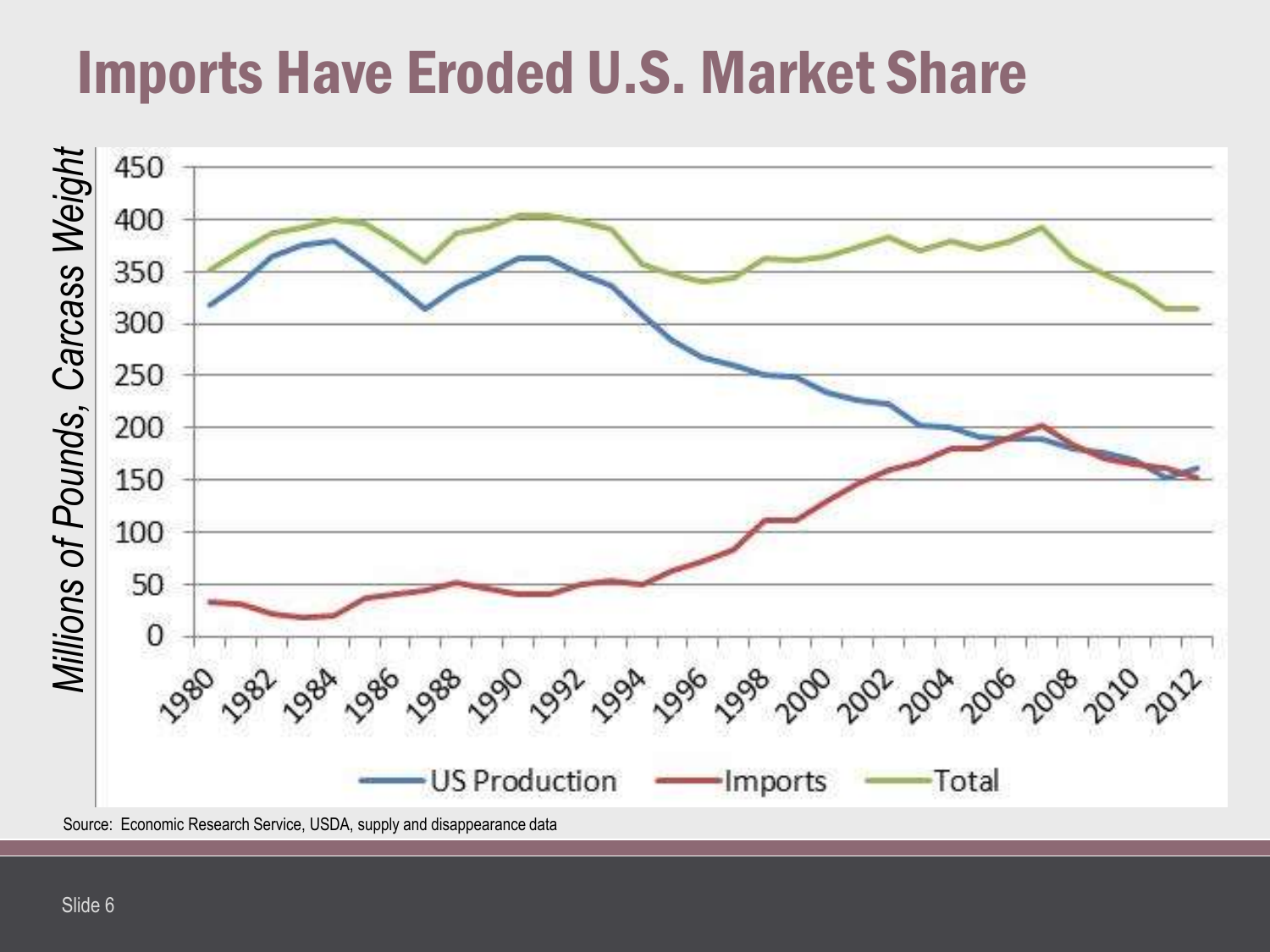## Imports Have Eroded U.S. Market Share

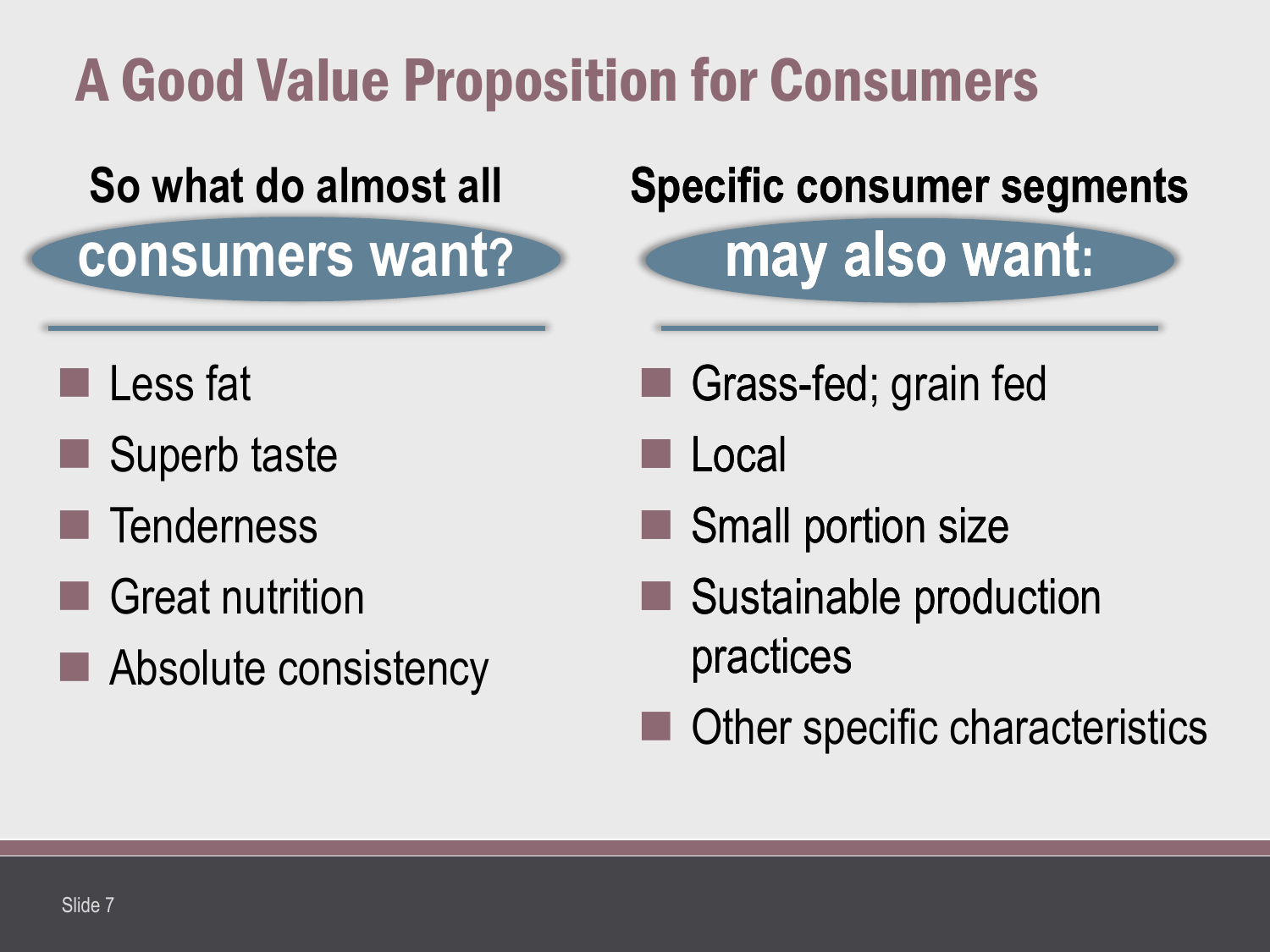## A Good Value Proposition for Consumers

## **So what do almost all**

**consumers want?**

#### **Specific consumer segments**

**may also want:**

**Less fat** 

- Superb taste
- **Tenderness**
- Great nutrition
- Absolute consistency

Grass-fed Grass-fed; grain fed

Local

- Small portion size
- Sustainable production practices
- Other specific characteristics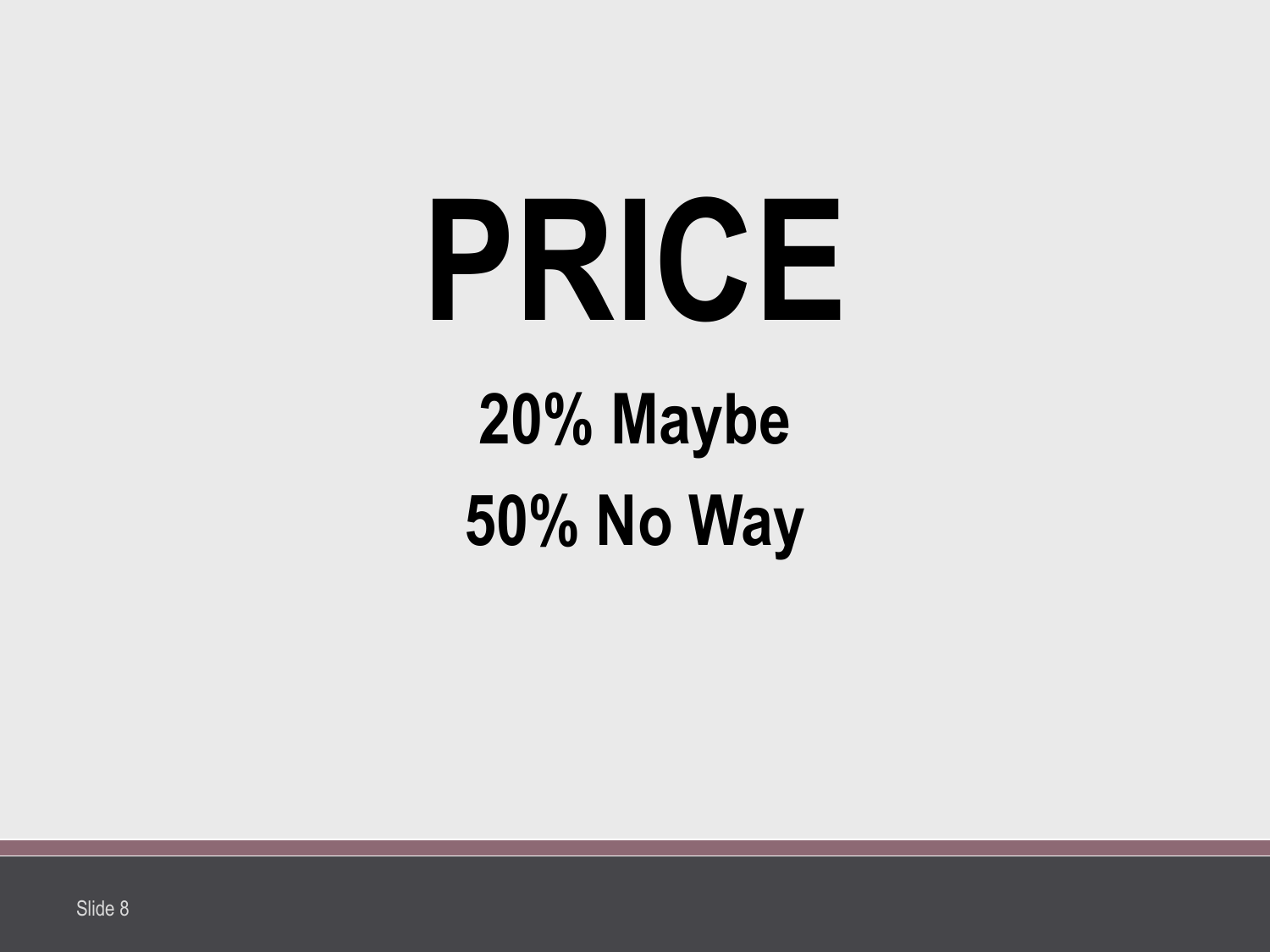## **PRICE 20% Maybe 50% No Way**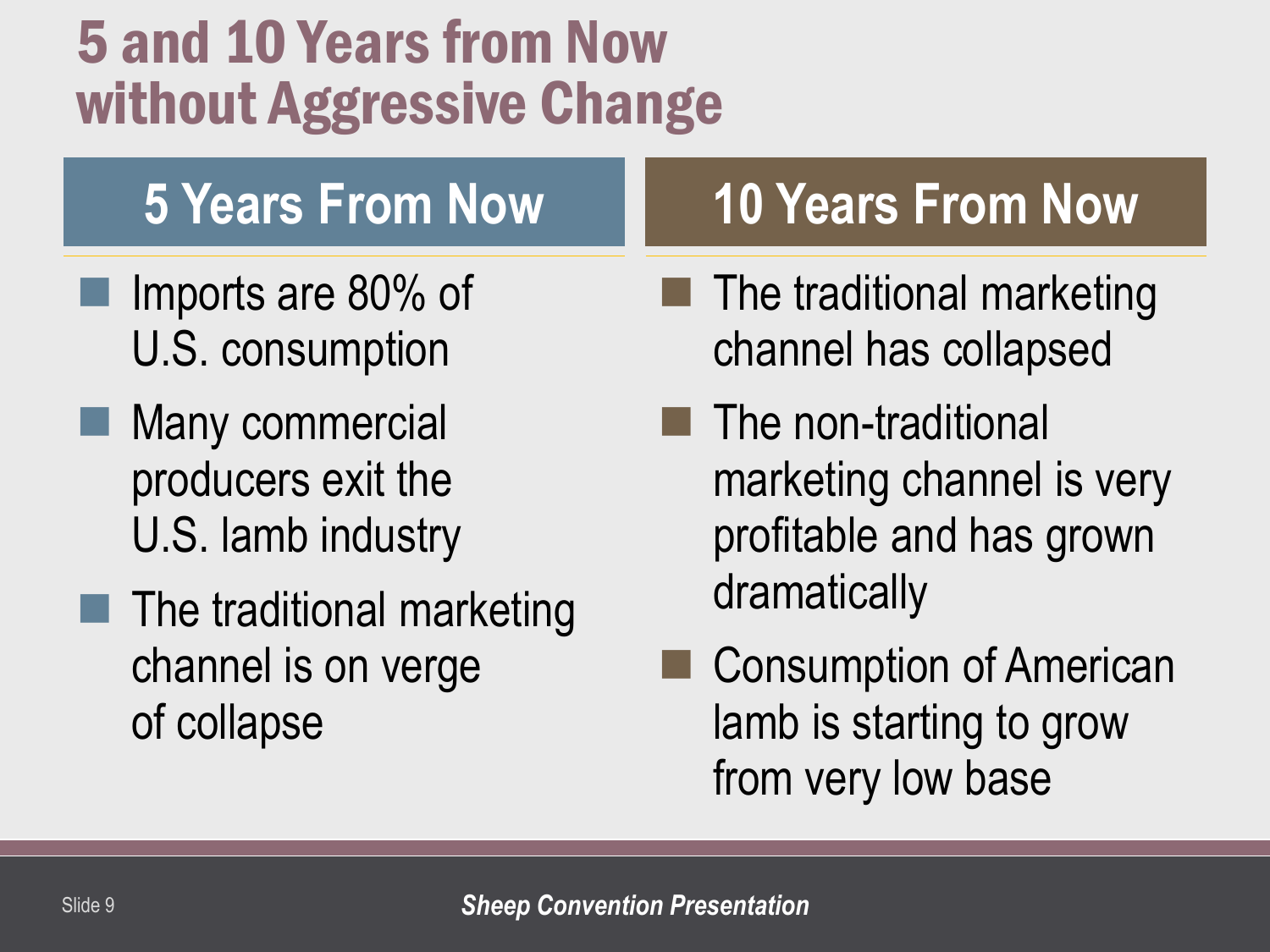## 5 and 10 Years from Now without Aggressive Change

## **5 Years From Now**

- Imports are 80% of U.S. consumption
- **Many commercial** producers exit the U.S. lamb industry
- $\blacksquare$  The traditional marketing channel is on verge of collapse

## **10 Years From Now**

- $\blacksquare$  The traditional marketing channel has collapsed
- $\blacksquare$  The non-traditional marketing channel is very profitable and has grown dramatically
- Consumption of American lamb is starting to grow from very low base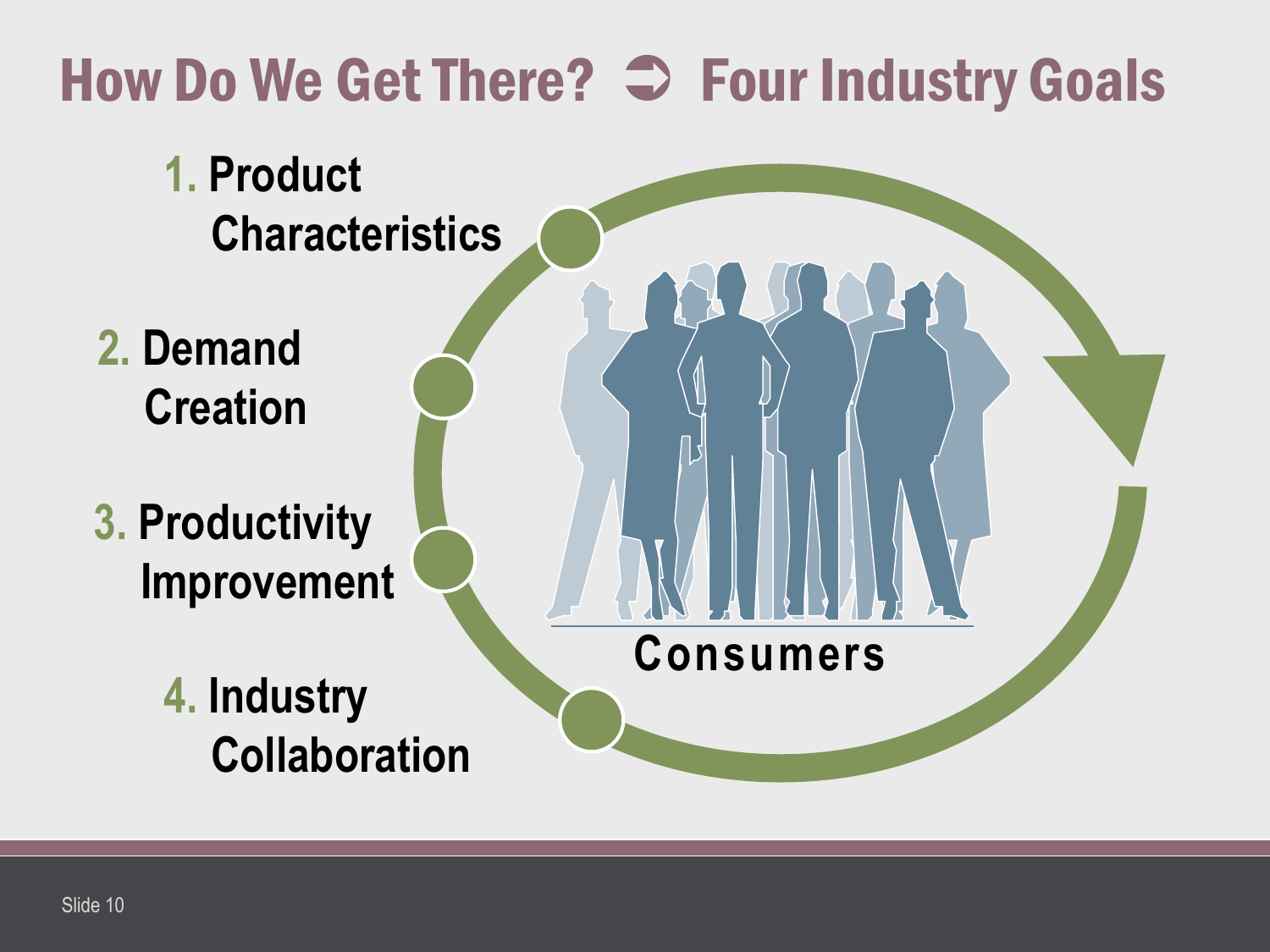## How Do We Get There?  $\supset$  Four Industry Goals

- **1. Product Characteristics**
- **2. Demand Creation**
- **3. Productivity Improvement**
	- **4. Industry Collaboration**

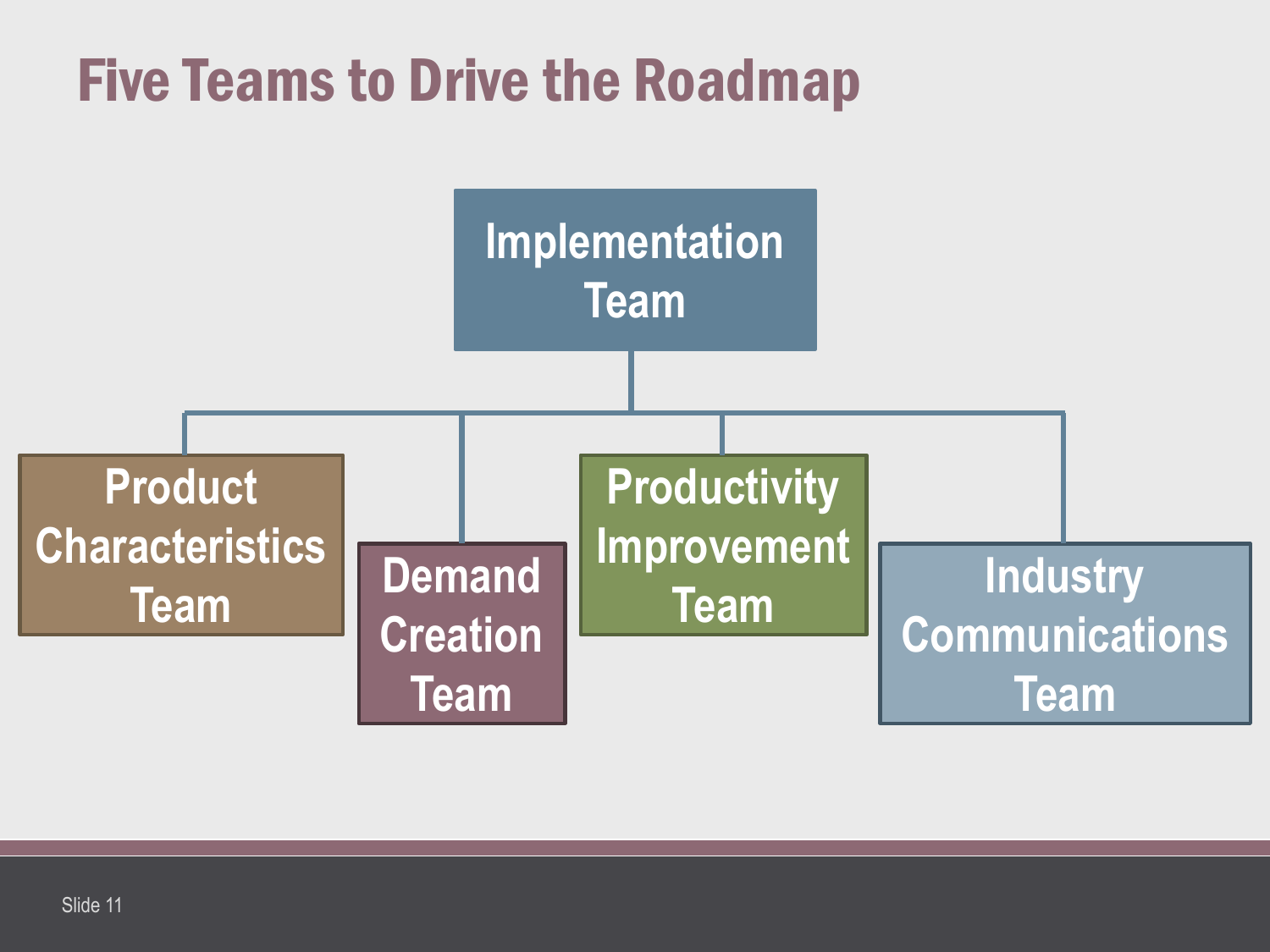## Five Teams to Drive the Roadmap

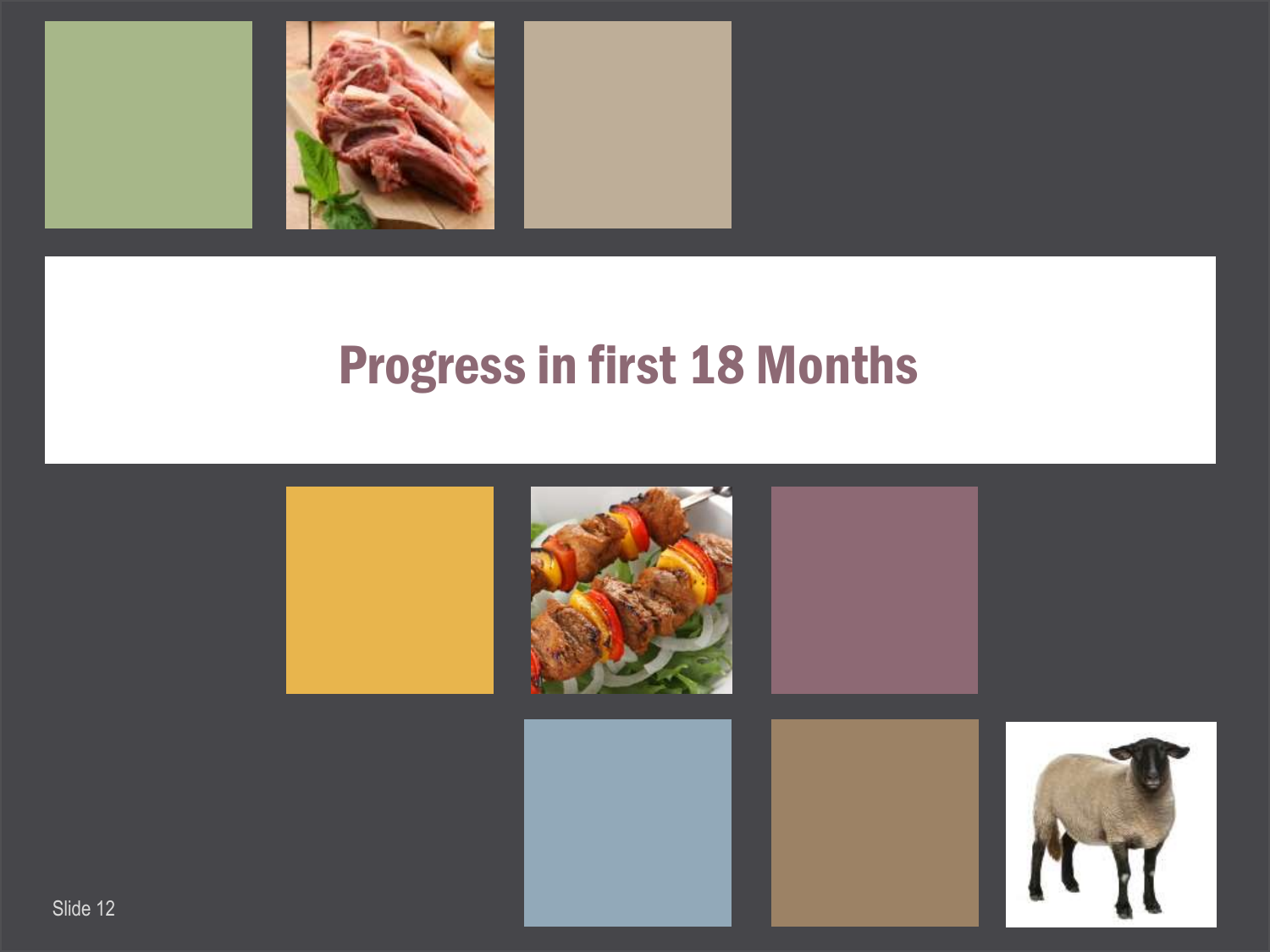

#### Progress in first 18 Months

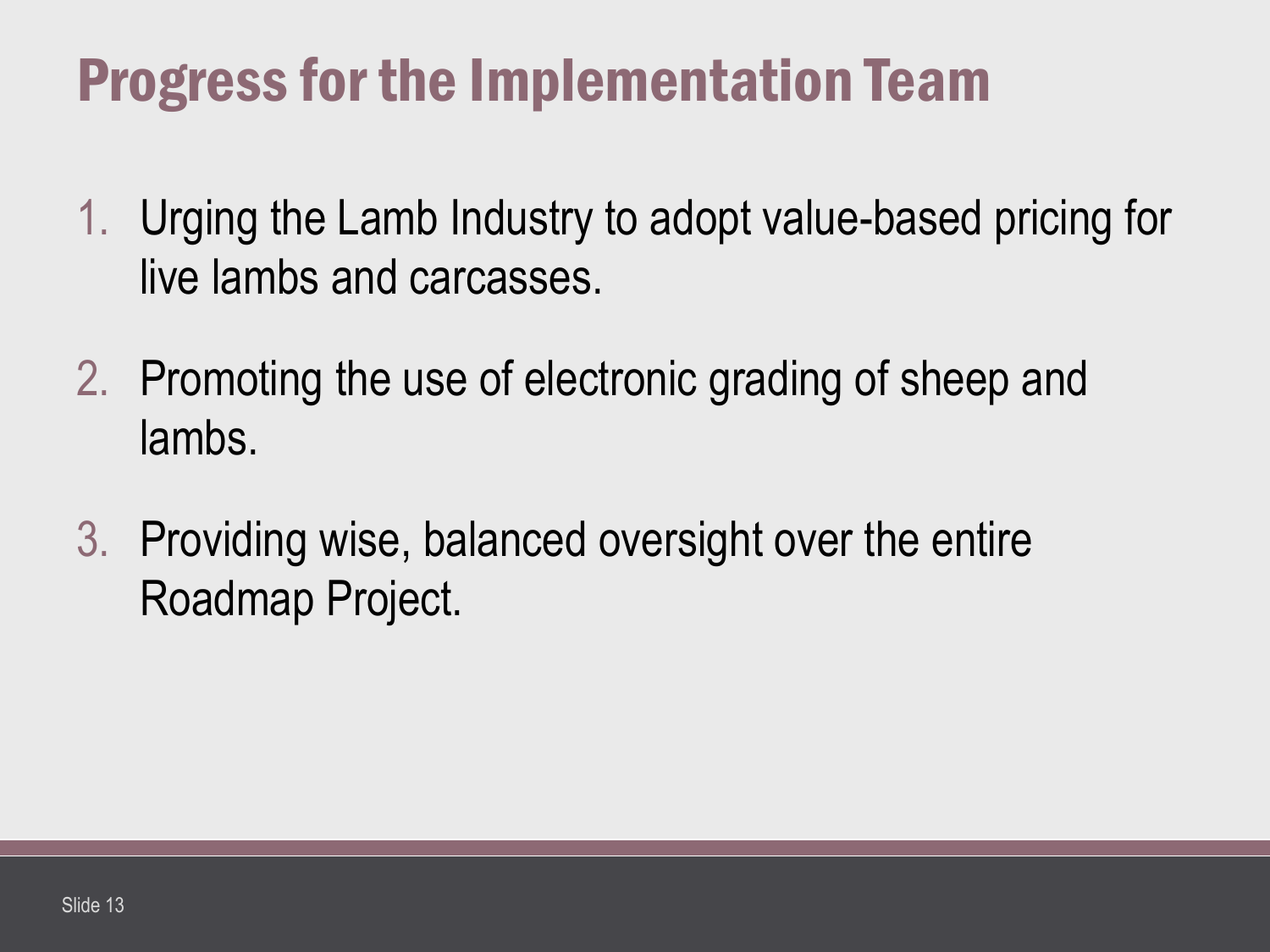## Progress for the Implementation Team

- 1. Urging the Lamb Industry to adopt value-based pricing for live lambs and carcasses.
- 2. Promoting the use of electronic grading of sheep and lambs.
- 3. Providing wise, balanced oversight over the entire Roadmap Project.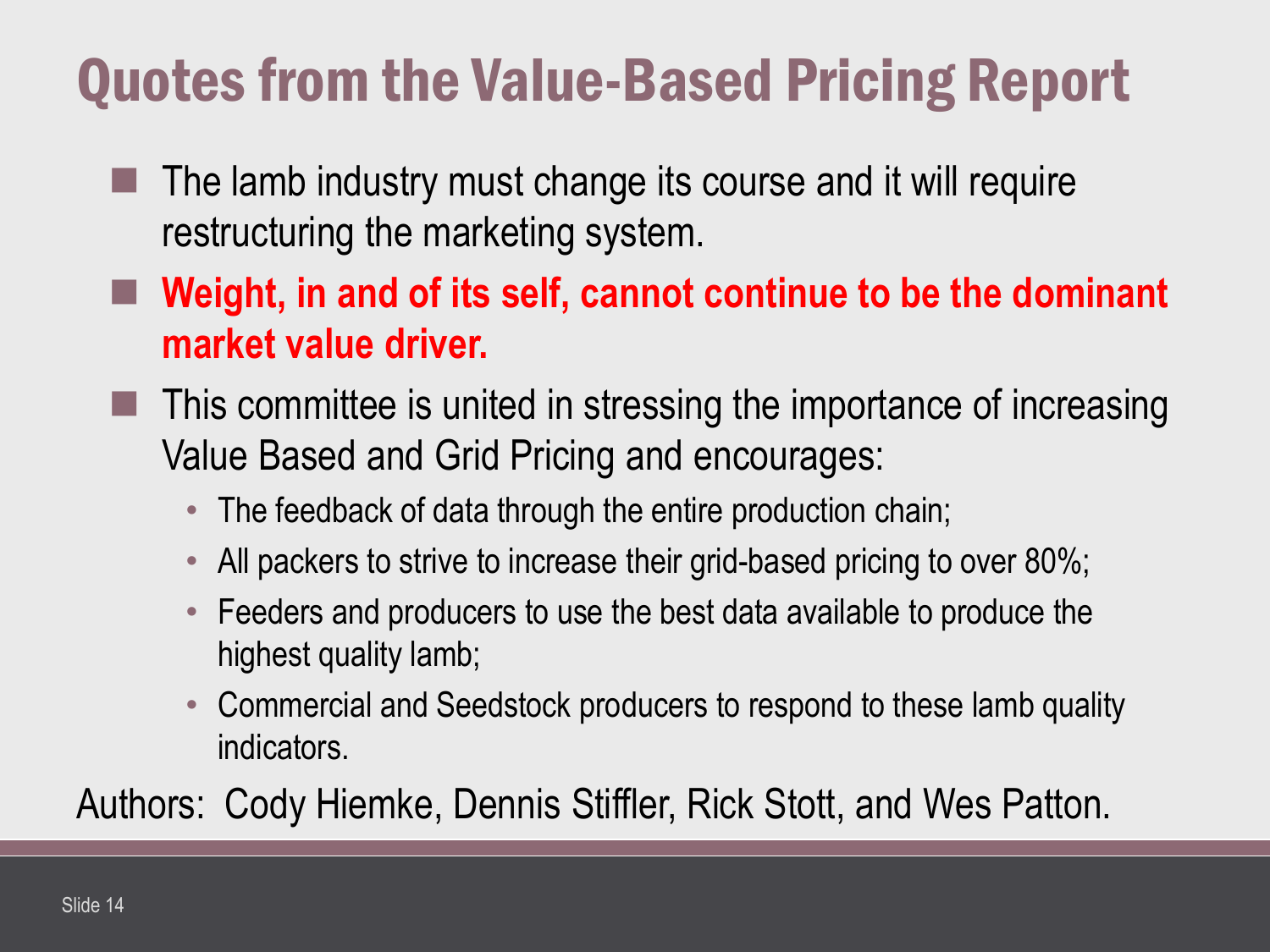## Quotes from the Value-Based Pricing Report

- The lamb industry must change its course and it will require restructuring the marketing system.
- **Weight, in and of its self, cannot continue to be the dominant market value driver.**
- This committee is united in stressing the importance of increasing Value Based and Grid Pricing and encourages:
	- The feedback of data through the entire production chain;
	- All packers to strive to increase their grid-based pricing to over 80%;
	- Feeders and producers to use the best data available to produce the highest quality lamb;
	- Commercial and Seedstock producers to respond to these lamb quality indicators.

Authors: Cody Hiemke, Dennis Stiffler, Rick Stott, and Wes Patton.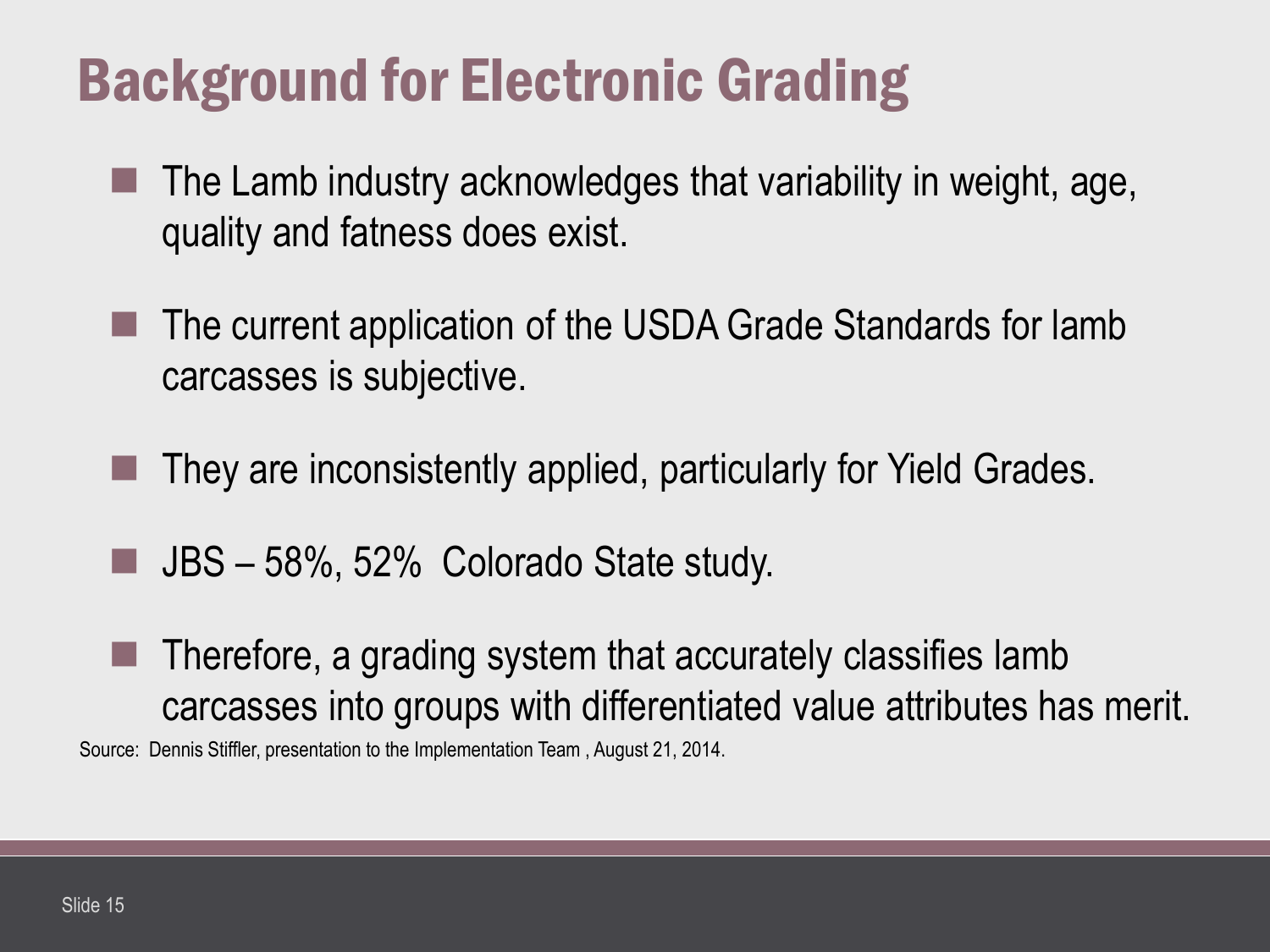## Background for Electronic Grading

- The Lamb industry acknowledges that variability in weight, age, quality and fatness does exist.
- The current application of the USDA Grade Standards for lamb carcasses is subjective.
- They are inconsistently applied, particularly for Yield Grades.
- JBS 58%, 52% Colorado State study.
- Therefore, a grading system that accurately classifies lamb carcasses into groups with differentiated value attributes has merit. Source: Dennis Stiffler, presentation to the Implementation Team , August 21, 2014.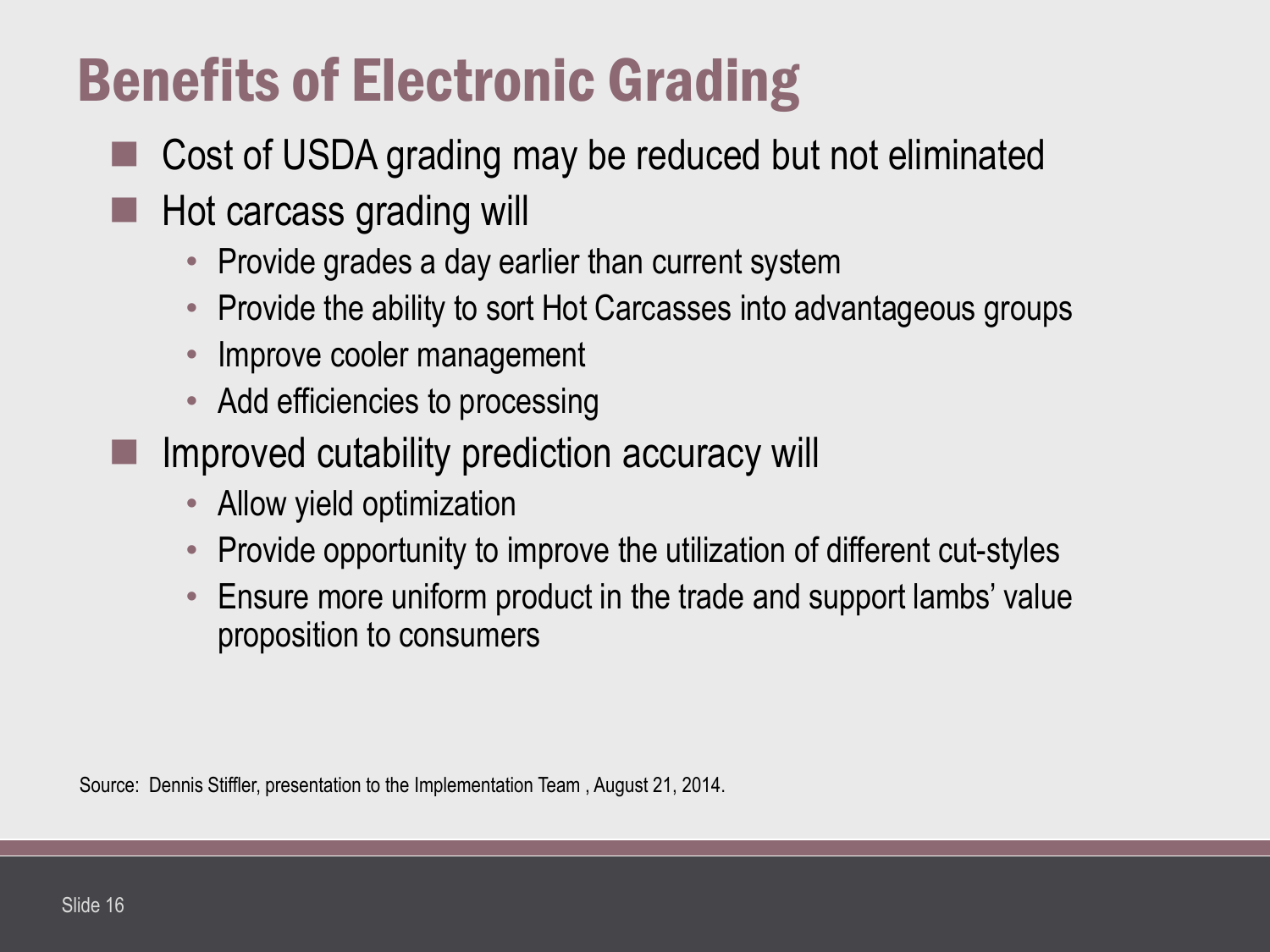## Benefits of Electronic Grading

- Cost of USDA grading may be reduced but not eliminated
- Hot carcass grading will
	- Provide grades a day earlier than current system
	- Provide the ability to sort Hot Carcasses into advantageous groups
	- Improve cooler management
	- Add efficiencies to processing
	- Improved cutability prediction accuracy will
		- Allow yield optimization
		- Provide opportunity to improve the utilization of different cut-styles
		- Ensure more uniform product in the trade and support lambs' value proposition to consumers

Source: Dennis Stiffler, presentation to the Implementation Team , August 21, 2014.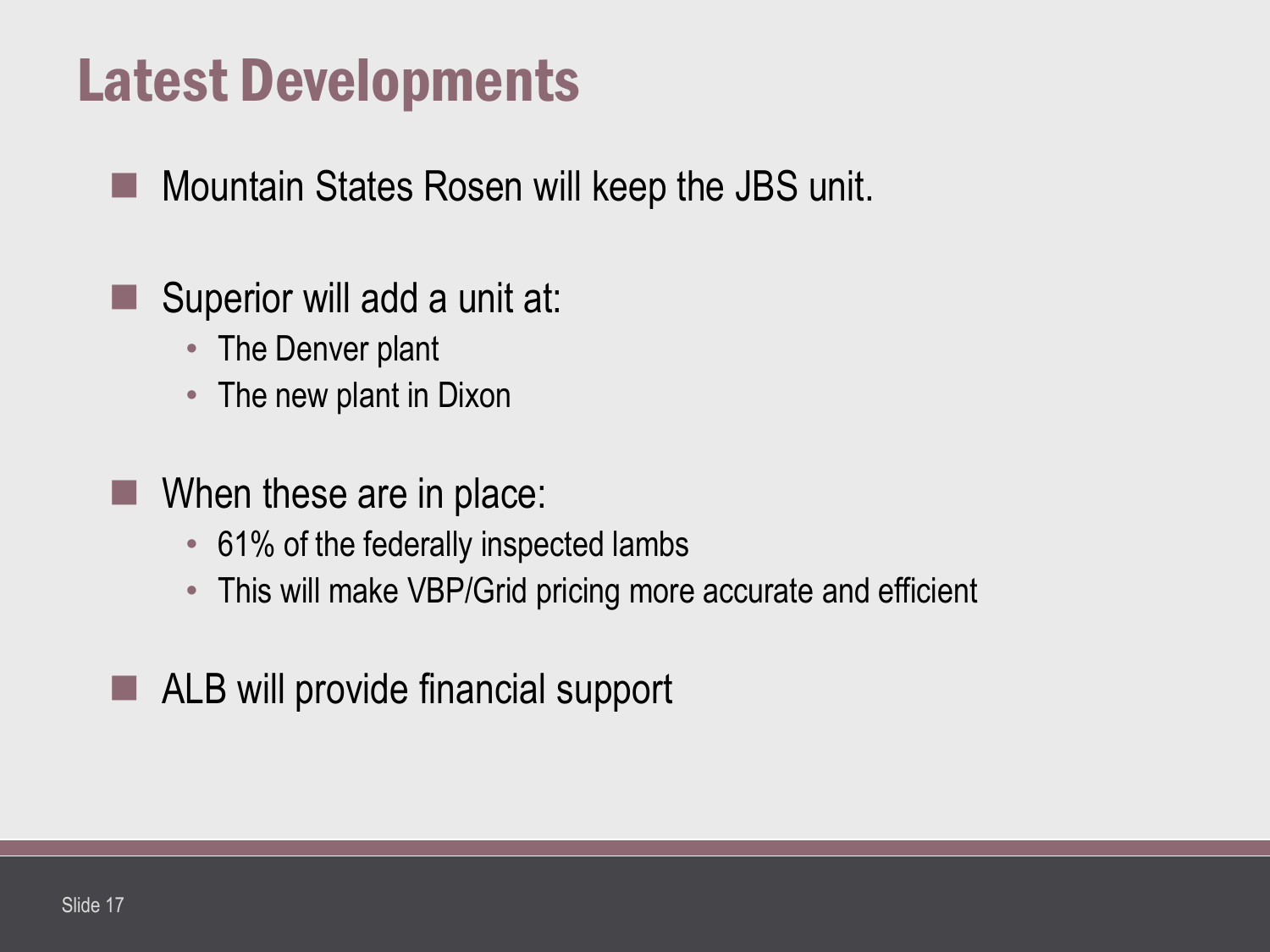## Latest Developments

**Mountain States Rosen will keep the JBS unit.** 

#### Superior will add a unit at:

- The Denver plant
- The new plant in Dixon
- When these are in place:
	- 61% of the federally inspected lambs
	- This will make VBP/Grid pricing more accurate and efficient
- ALB will provide financial support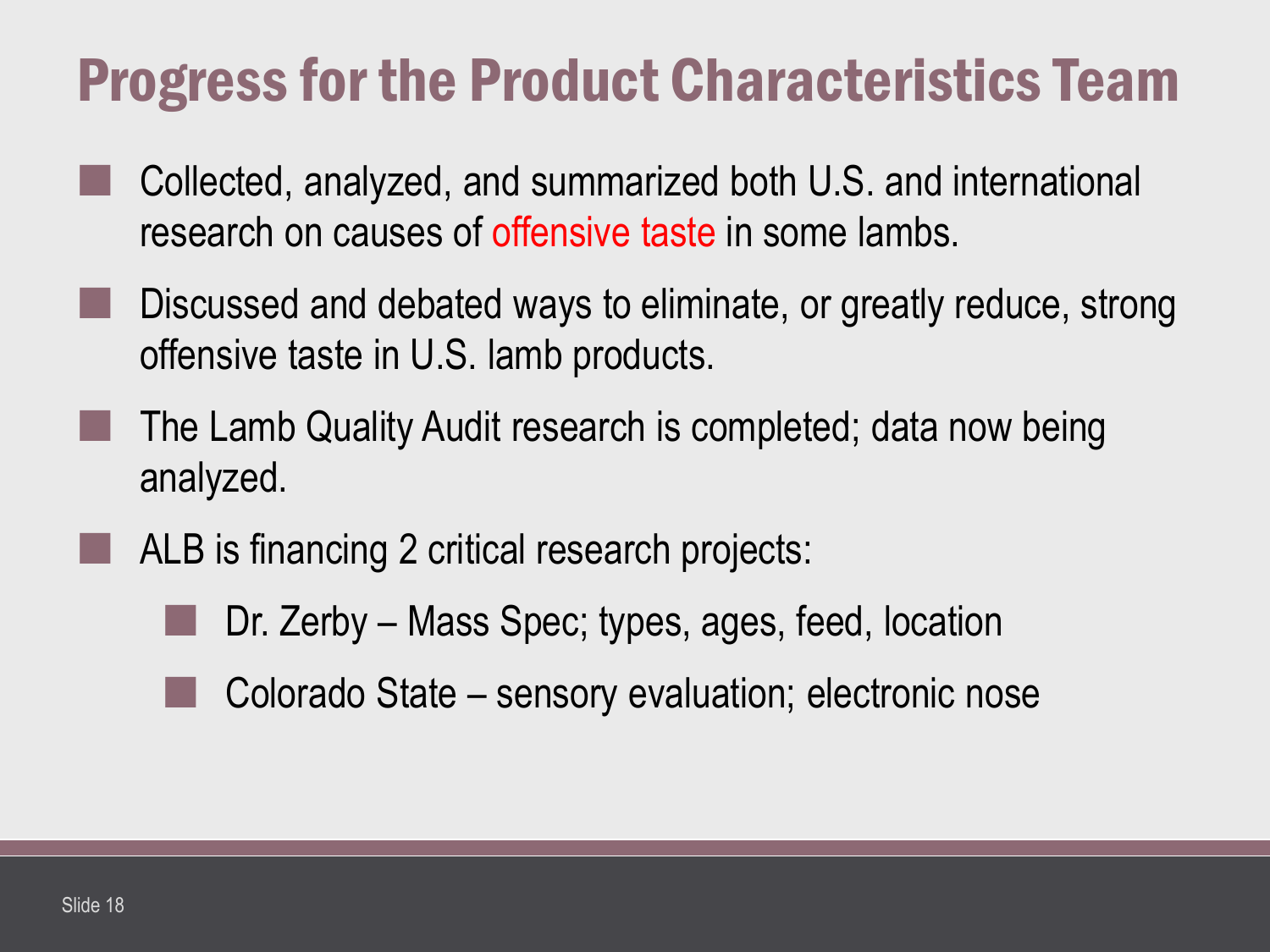## Progress for the Product Characteristics Team

- Collected, analyzed, and summarized both U.S. and international research on causes of offensive taste in some lambs.
- Discussed and debated ways to eliminate, or greatly reduce, strong offensive taste in U.S. lamb products.
- The Lamb Quality Audit research is completed; data now being analyzed.
- ALB is financing 2 critical research projects:
	- Dr. Zerby Mass Spec; types, ages, feed, location
	- Colorado State sensory evaluation; electronic nose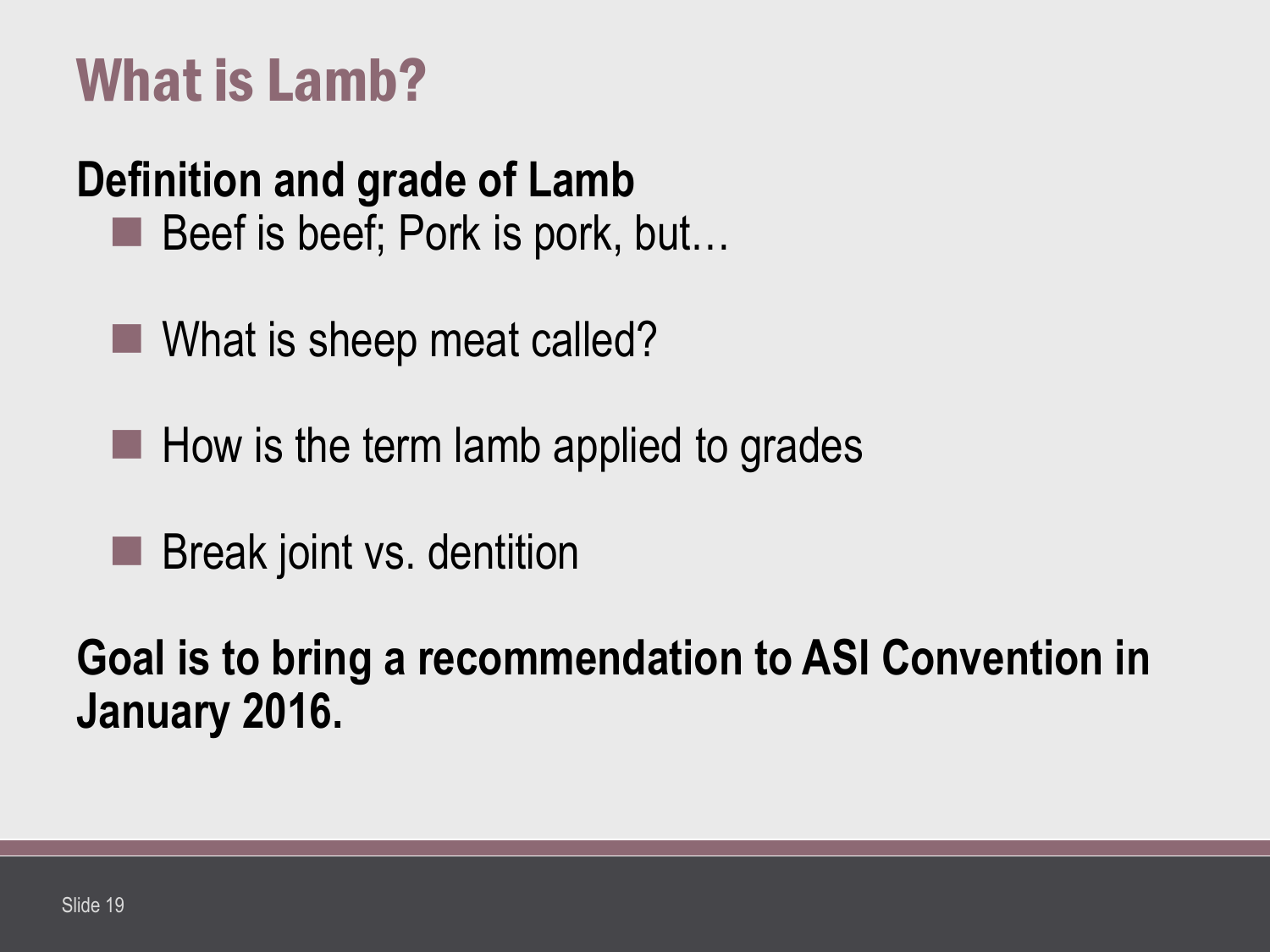## What is Lamb?

#### **Definition and grade of Lamb**

- Beef is beef; Pork is pork, but...
- What is sheep meat called?
- $\blacksquare$  How is the term lamb applied to grades
- **Break joint vs. dentition**

**Goal is to bring a recommendation to ASI Convention in January 2016.**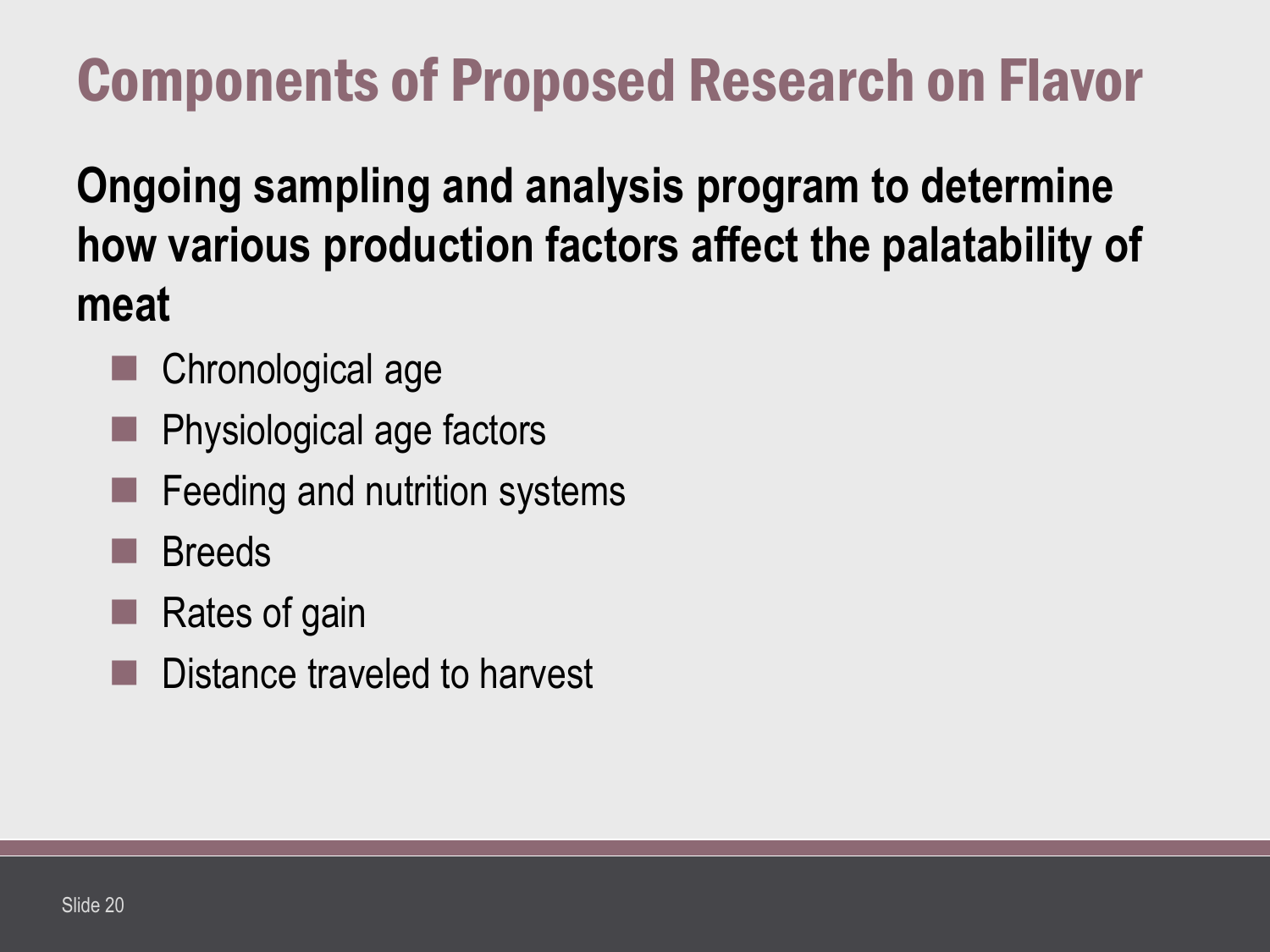## Components of Proposed Research on Flavor

**Ongoing sampling and analysis program to determine how various production factors affect the palatability of meat** 

- Chronological age
- Physiological age factors
- Feeding and nutrition systems
- Breeds
- Rates of gain
- Distance traveled to harvest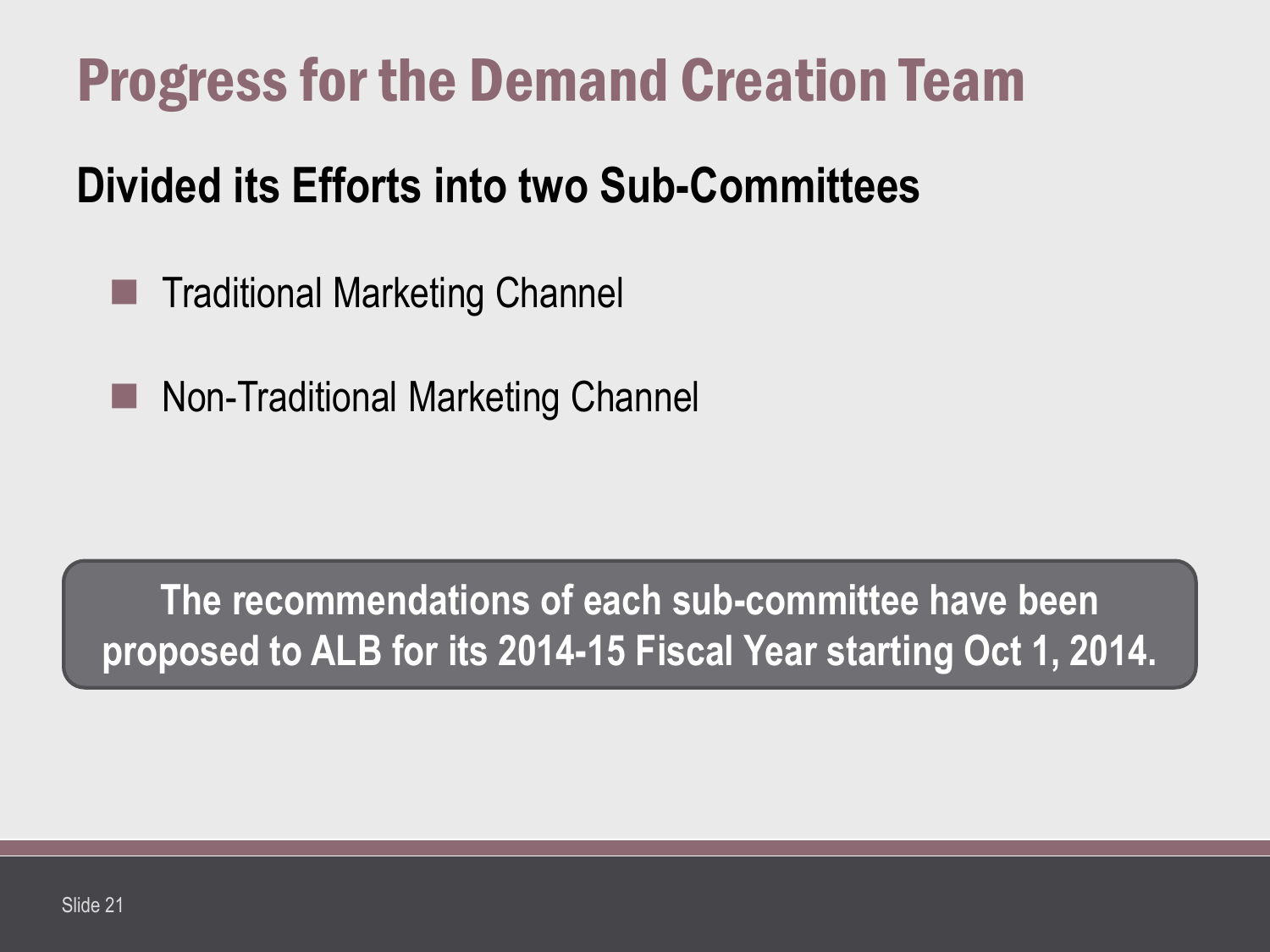## Progress for the Demand Creation Team

#### **Divided its Efforts into two Sub-Committees**

- Traditional Marketing Channel
- **Non-Traditional Marketing Channel**

**The recommendations of each sub-committee have been proposed to ALB for its 2014-15 Fiscal Year starting Oct 1, 2014.**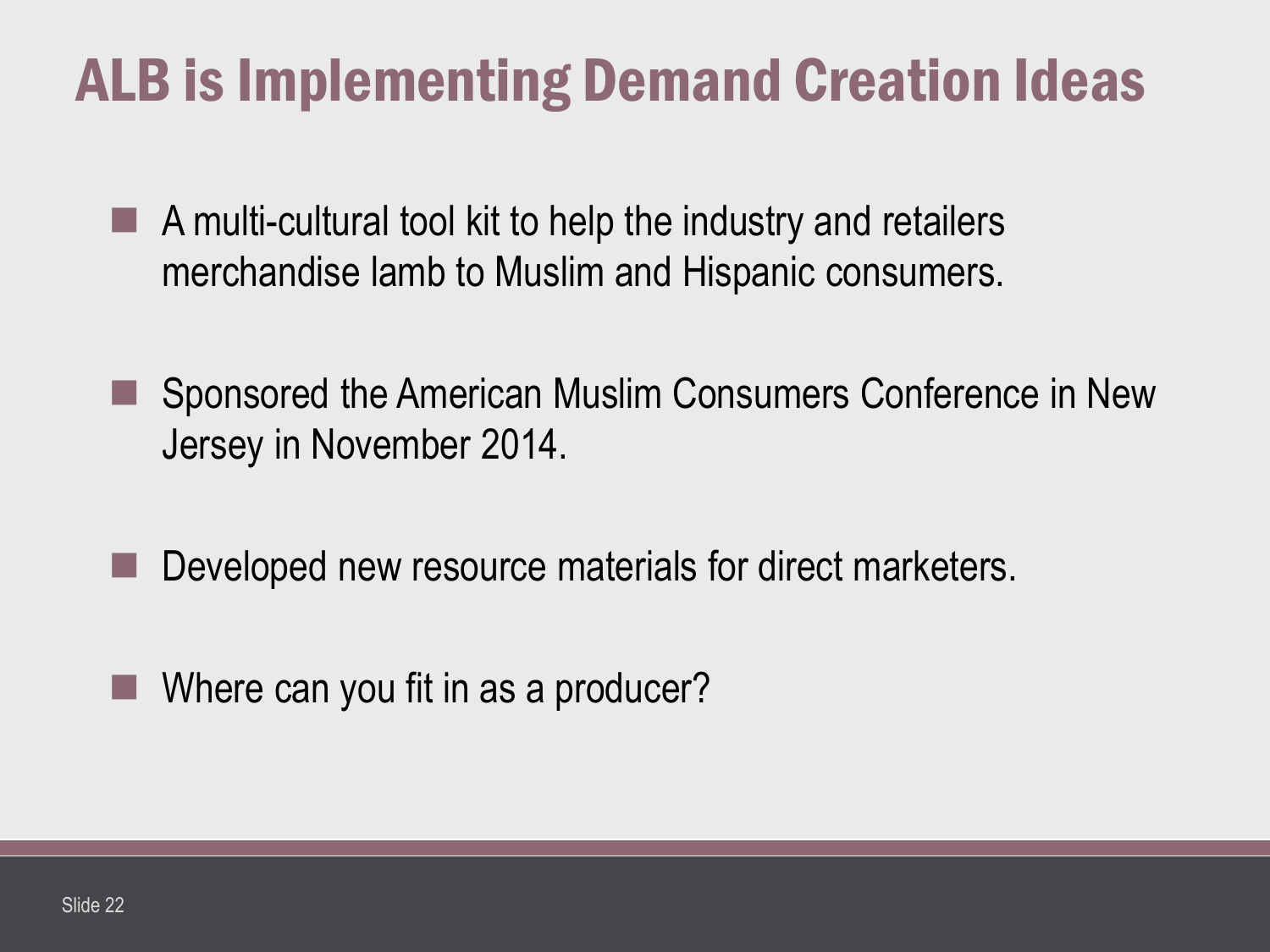## ALB is Implementing Demand Creation Ideas

- $\blacksquare$  A multi-cultural tool kit to help the industry and retailers merchandise lamb to Muslim and Hispanic consumers.
- Sponsored the American Muslim Consumers Conference in New Jersey in November 2014.
- Developed new resource materials for direct marketers.
- Where can you fit in as a producer?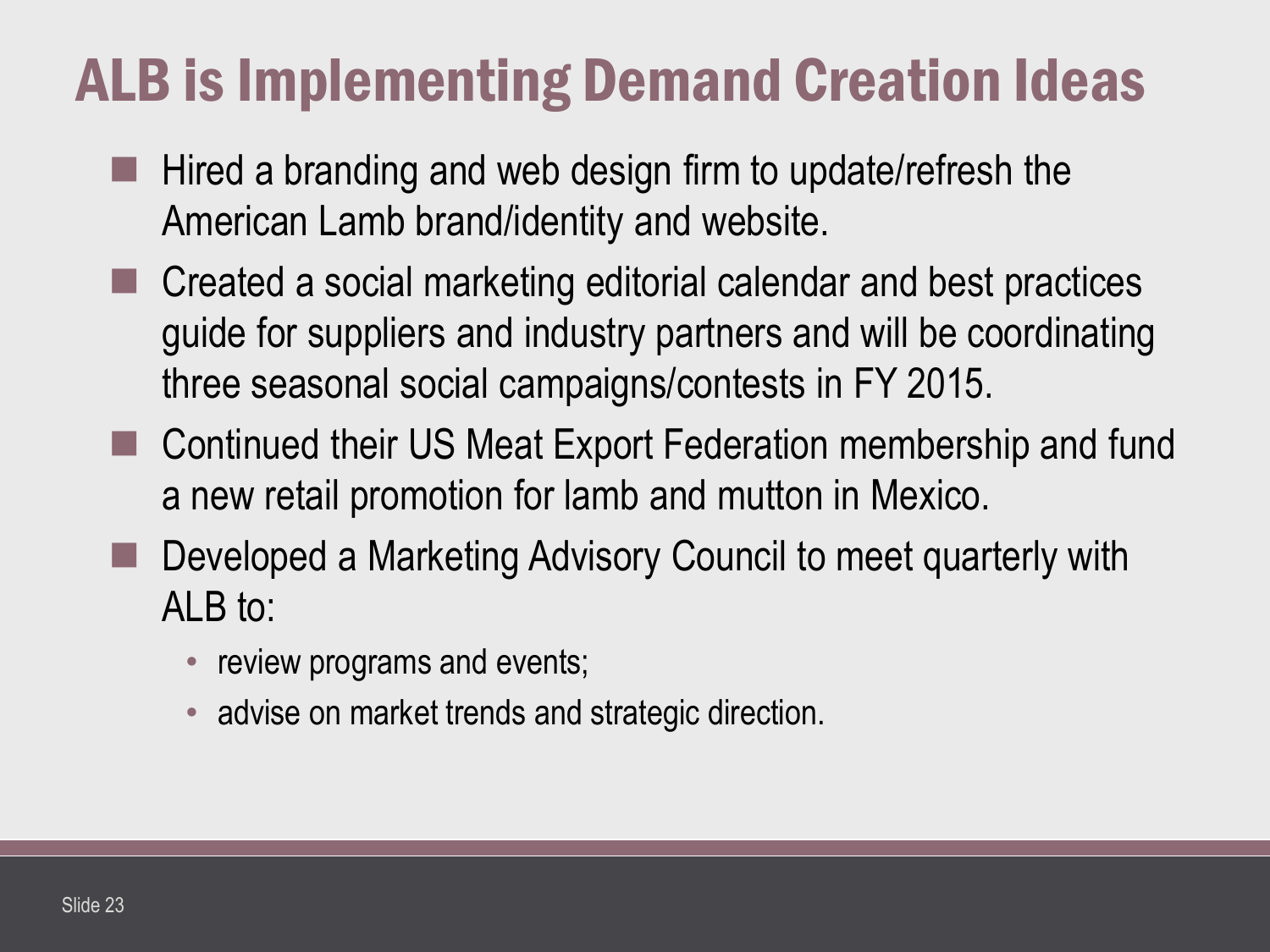## ALB is Implementing Demand Creation Ideas

- Hired a branding and web design firm to update/refresh the American Lamb brand/identity and website.
- Created a social marketing editorial calendar and best practices guide for suppliers and industry partners and will be coordinating three seasonal social campaigns/contests in FY 2015.
- Continued their US Meat Export Federation membership and fund a new retail promotion for lamb and mutton in Mexico.
- Developed a Marketing Advisory Council to meet quarterly with ALB to:
	- review programs and events;
	- advise on market trends and strategic direction.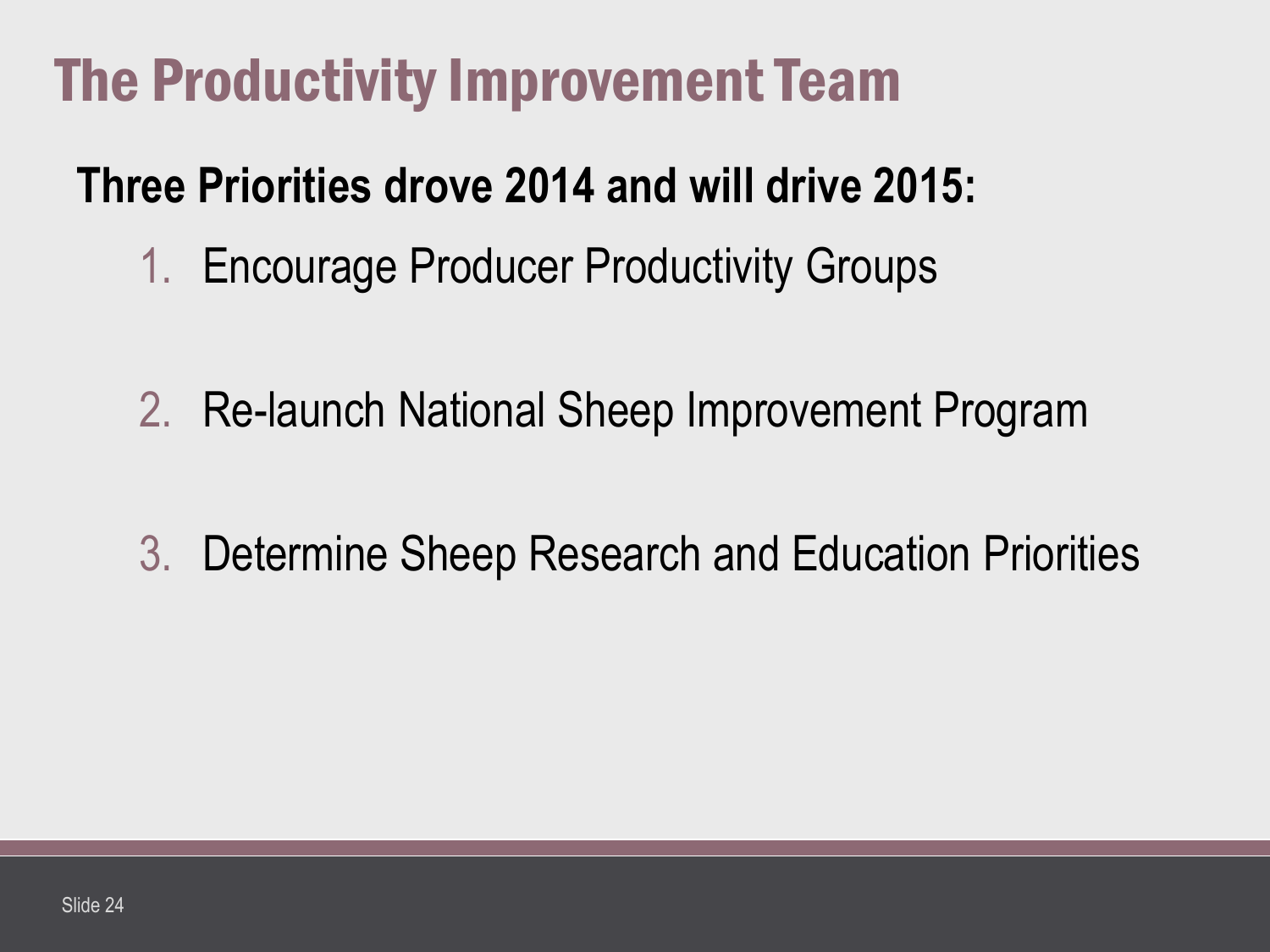## The Productivity Improvement Team

#### **Three Priorities drove 2014 and will drive 2015:**

- 1. Encourage Producer Productivity Groups
- 2. Re-launch National Sheep Improvement Program
- 3. Determine Sheep Research and Education Priorities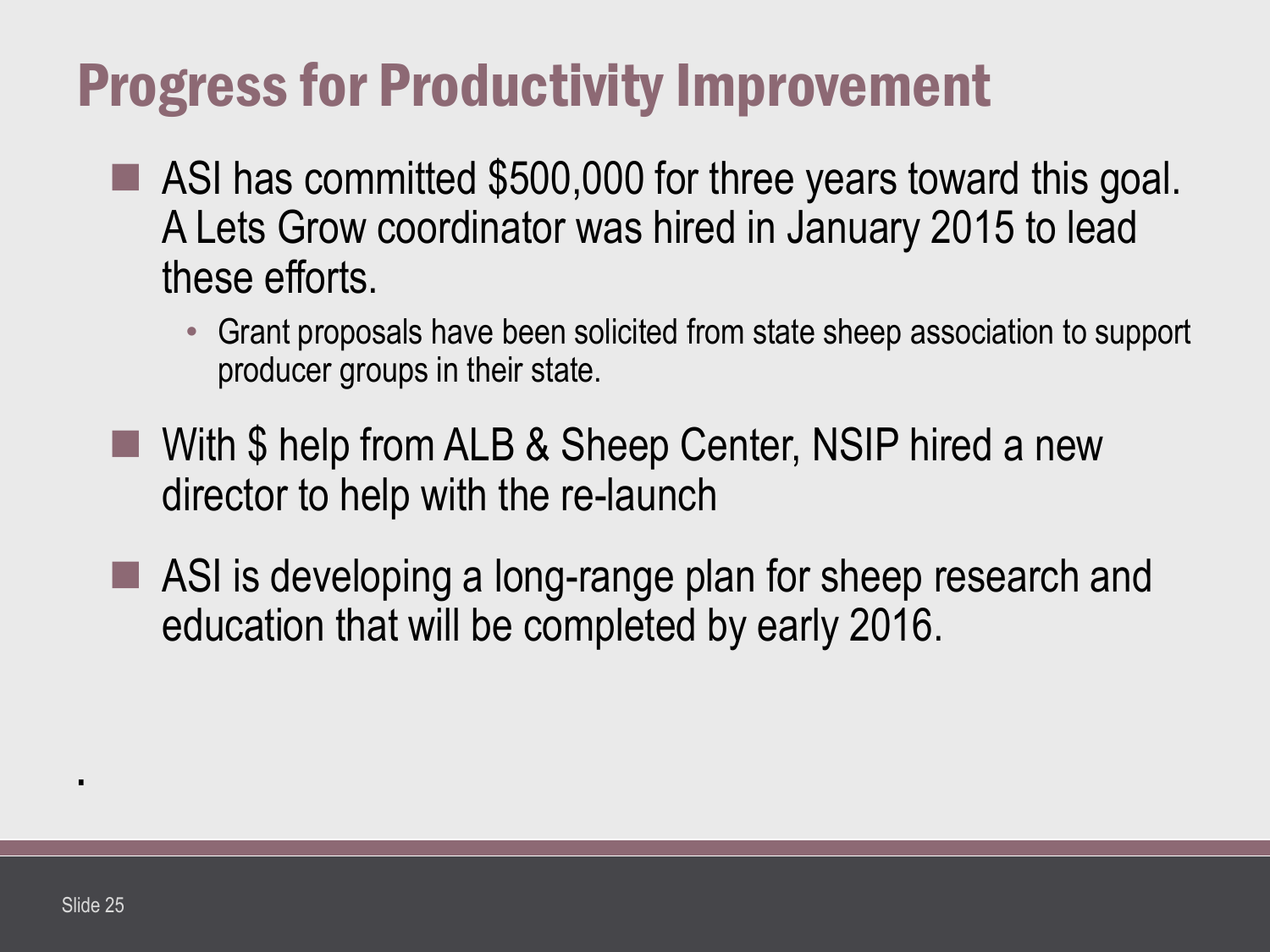## Progress for Productivity Improvement

- ASI has committed \$500,000 for three years toward this goal. A Lets Grow coordinator was hired in January 2015 to lead these efforts.
	- Grant proposals have been solicited from state sheep association to support producer groups in their state.
- With \$ help from ALB & Sheep Center, NSIP hired a new director to help with the re-launch
- ASI is developing a long-range plan for sheep research and education that will be completed by early 2016.

**.**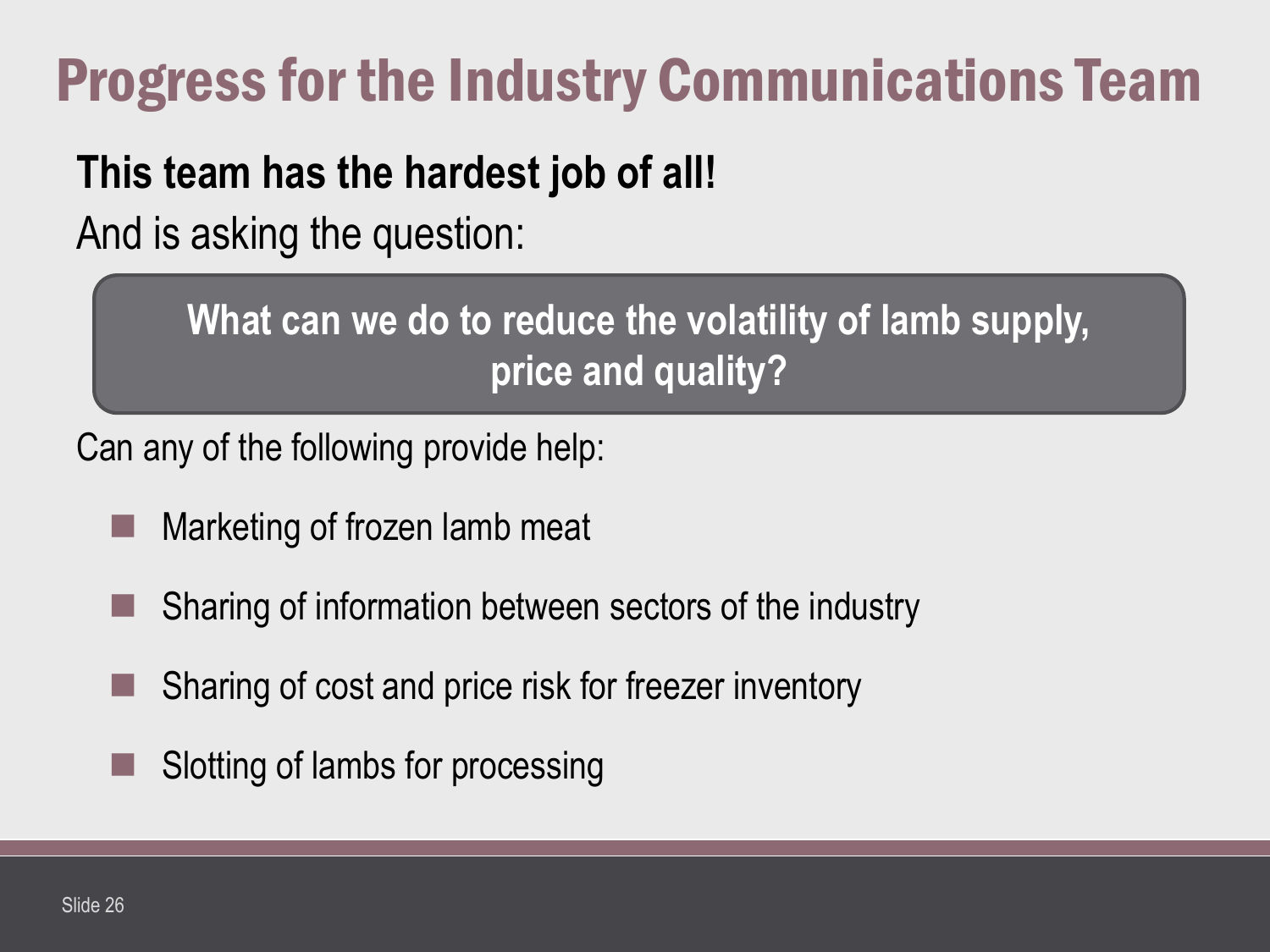## Progress for the Industry Communications Team

#### **This team has the hardest job of all!**

And is asking the question:

**What can we do to reduce the volatility of lamb supply, price and quality?**

Can any of the following provide help:

- Marketing of frozen lamb meat
- Sharing of information between sectors of the industry
- Sharing of cost and price risk for freezer inventory
- Slotting of lambs for processing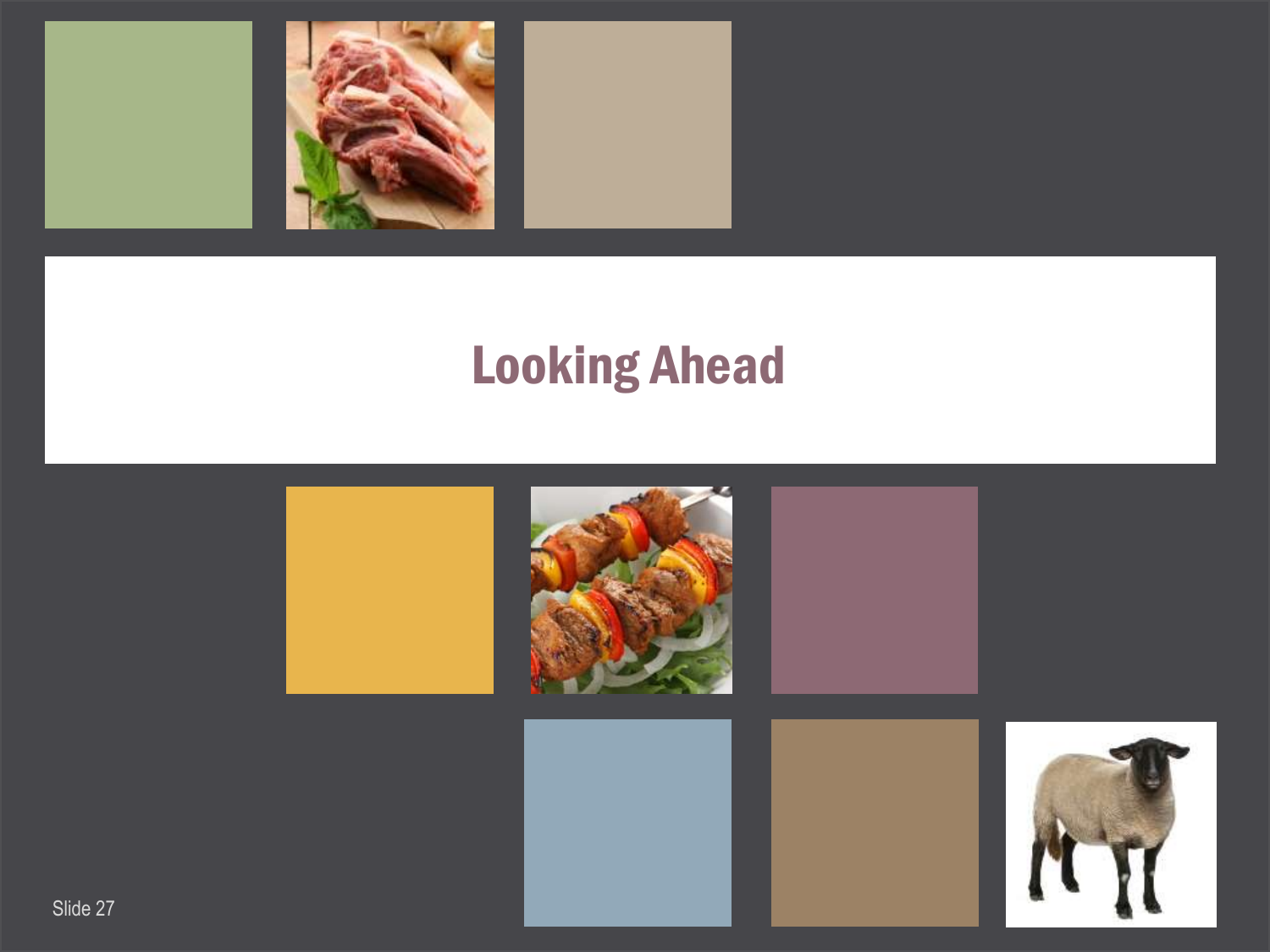

## Looking Ahead

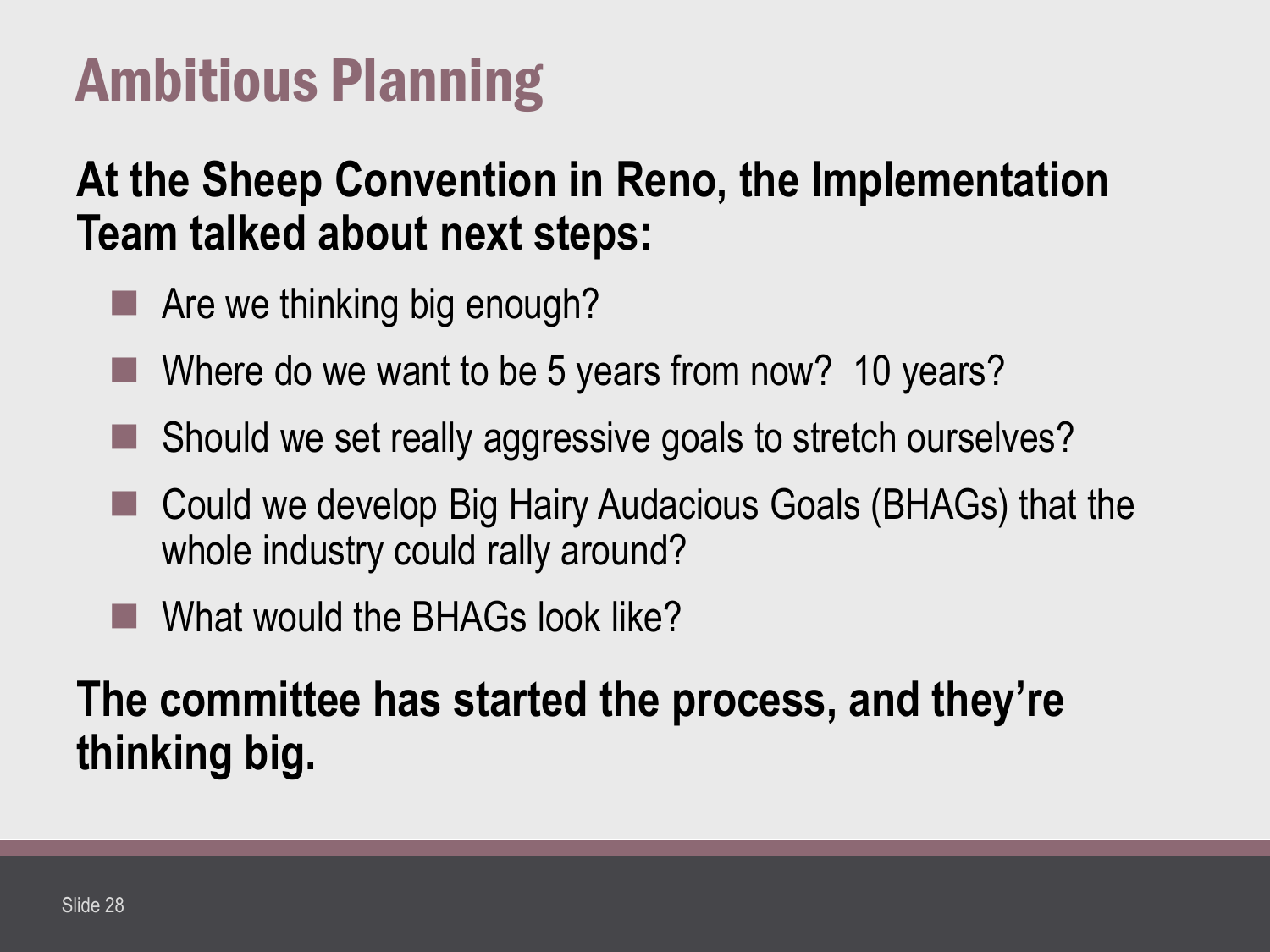## Ambitious Planning

#### **At the Sheep Convention in Reno, the Implementation Team talked about next steps:**

- **Are we thinking big enough?**
- Where do we want to be 5 years from now? 10 years?
- Should we set really aggressive goals to stretch ourselves?
- Could we develop Big Hairy Audacious Goals (BHAGs) that the whole industry could rally around?
- What would the BHAGs look like?

**The committee has started the process, and they're thinking big.**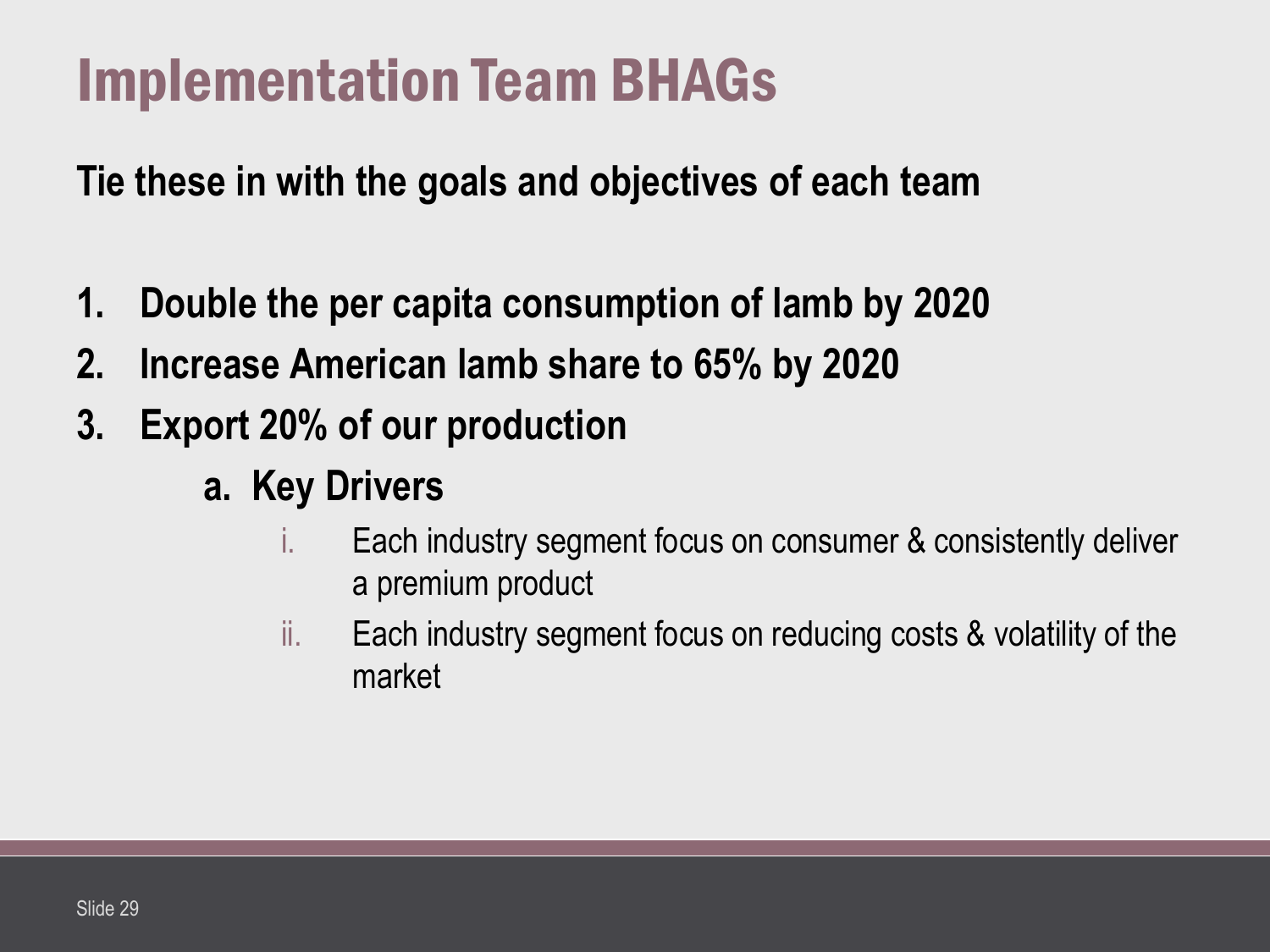## Implementation Team BHAGs

**Tie these in with the goals and objectives of each team**

- **1. Double the per capita consumption of lamb by 2020**
- **2. Increase American lamb share to 65% by 2020**
- **3. Export 20% of our production**
	- **a. Key Drivers**
		- i. Each industry segment focus on consumer & consistently deliver a premium product
		- ii. Each industry segment focus on reducing costs & volatility of the market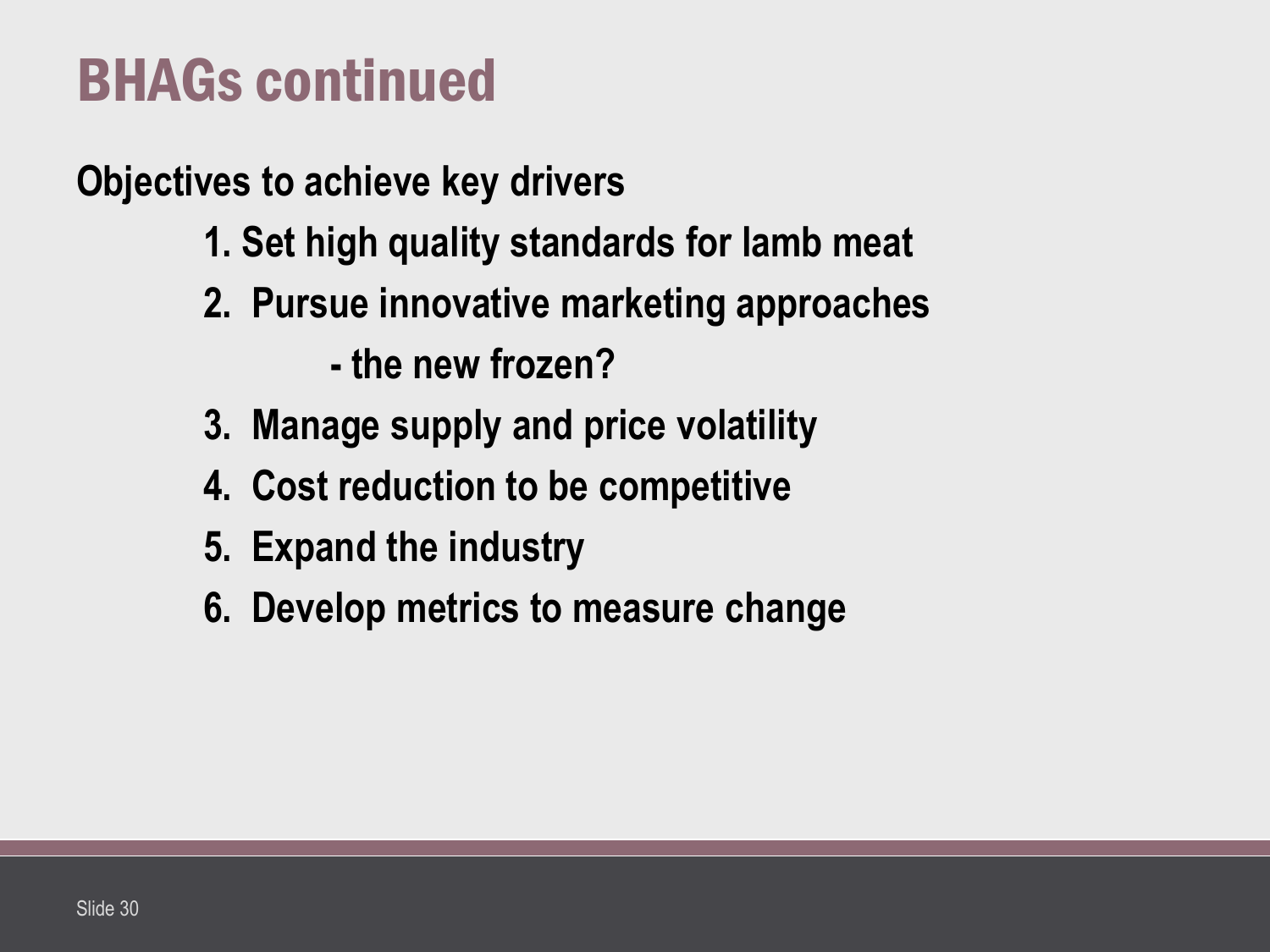## BHAGs continued

**Objectives to achieve key drivers**

- **1. Set high quality standards for lamb meat**
- **2. Pursue innovative marketing approaches**
	- **- the new frozen?**
- **3. Manage supply and price volatility**
- **4. Cost reduction to be competitive**
- **5. Expand the industry**
- **6. Develop metrics to measure change**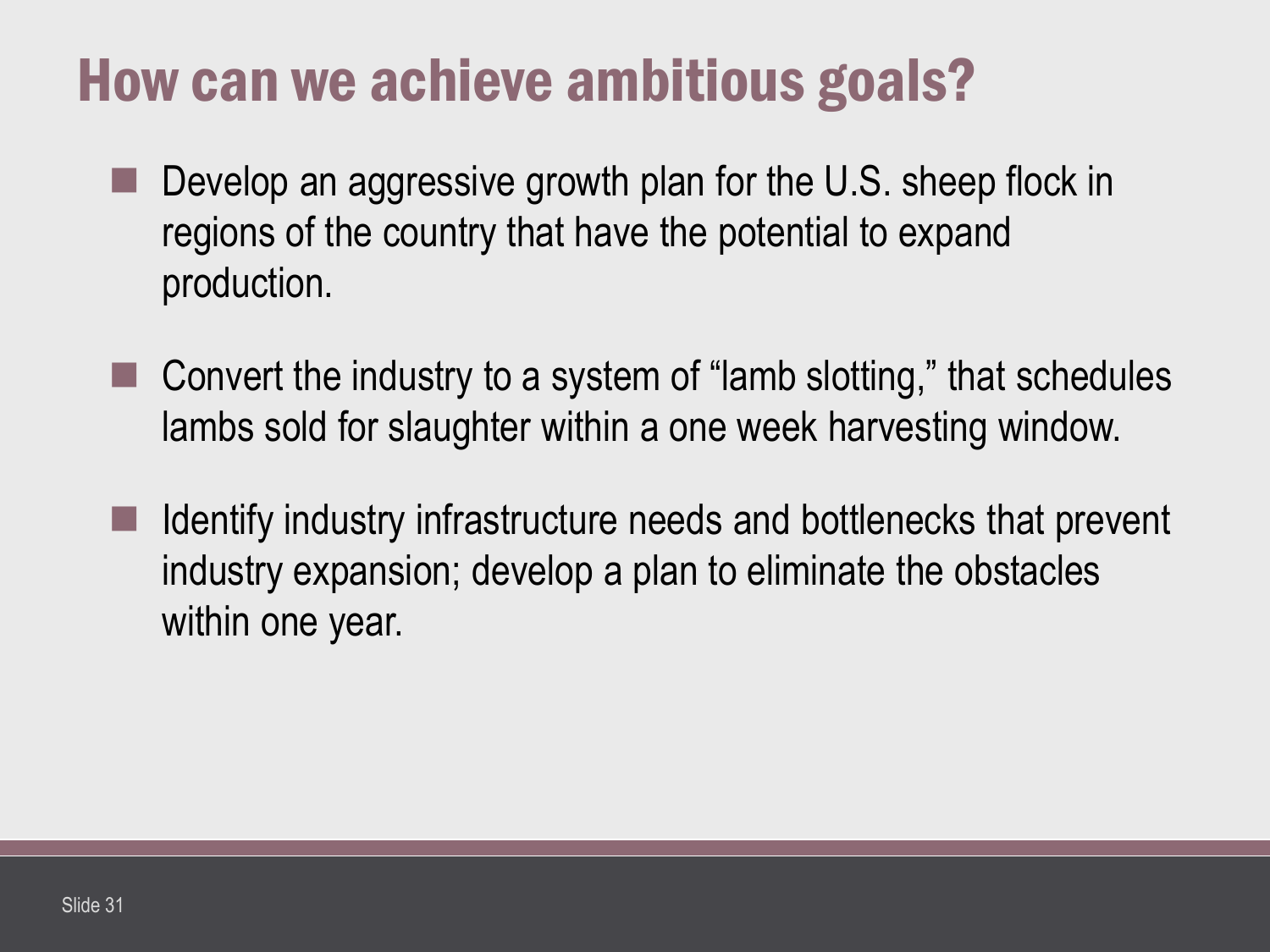## How can we achieve ambitious goals?

- Develop an aggressive growth plan for the U.S. sheep flock in regions of the country that have the potential to expand production.
- Convert the industry to a system of "lamb slotting," that schedules lambs sold for slaughter within a one week harvesting window.
- Identify industry infrastructure needs and bottlenecks that prevent industry expansion; develop a plan to eliminate the obstacles within one year.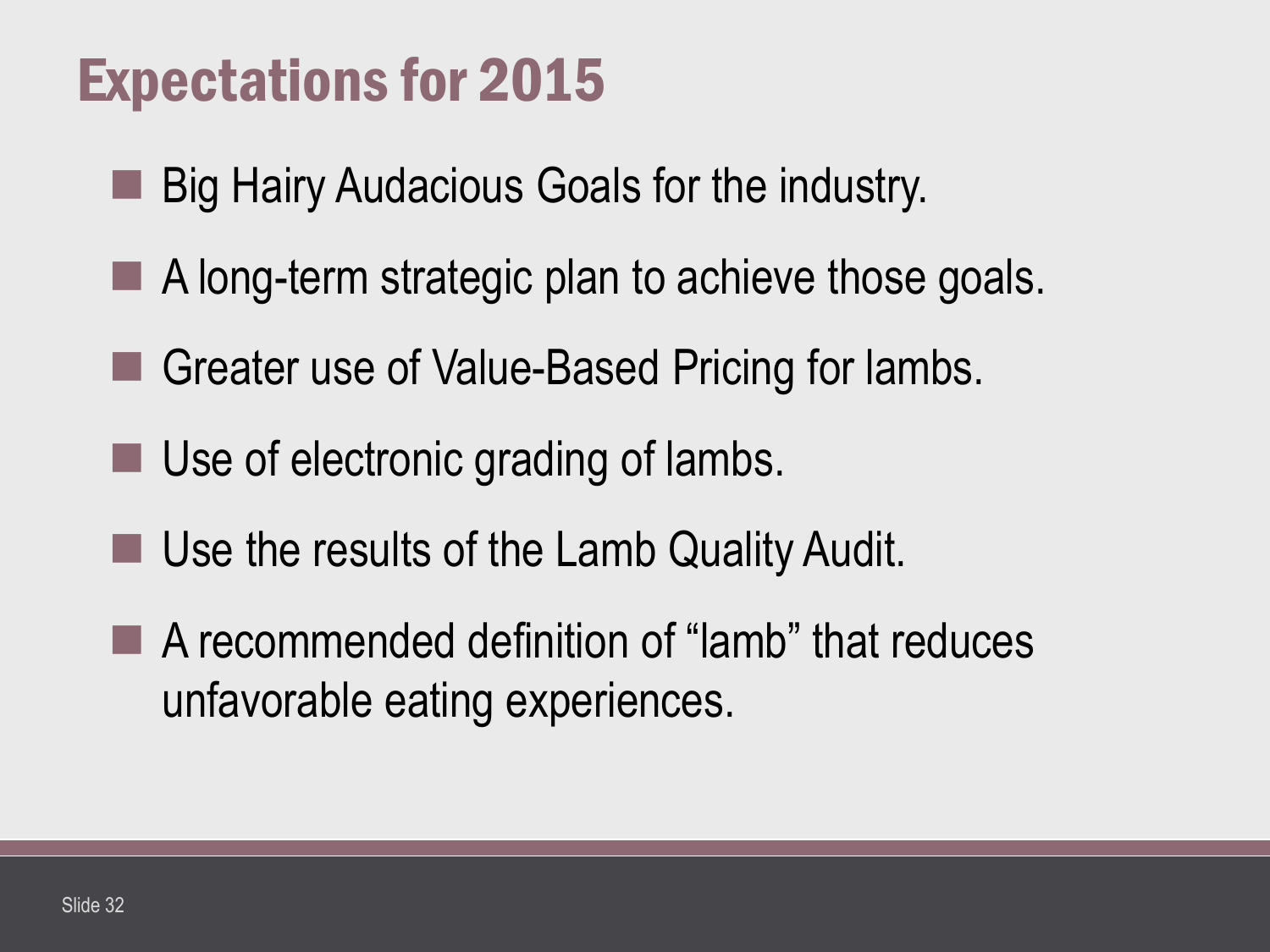## Expectations for 2015

- Big Hairy Audacious Goals for the industry.
- A long-term strategic plan to achieve those goals.
- Greater use of Value-Based Pricing for lambs.
- Use of electronic grading of lambs.
- Use the results of the Lamb Quality Audit.
- A recommended definition of "lamb" that reduces unfavorable eating experiences.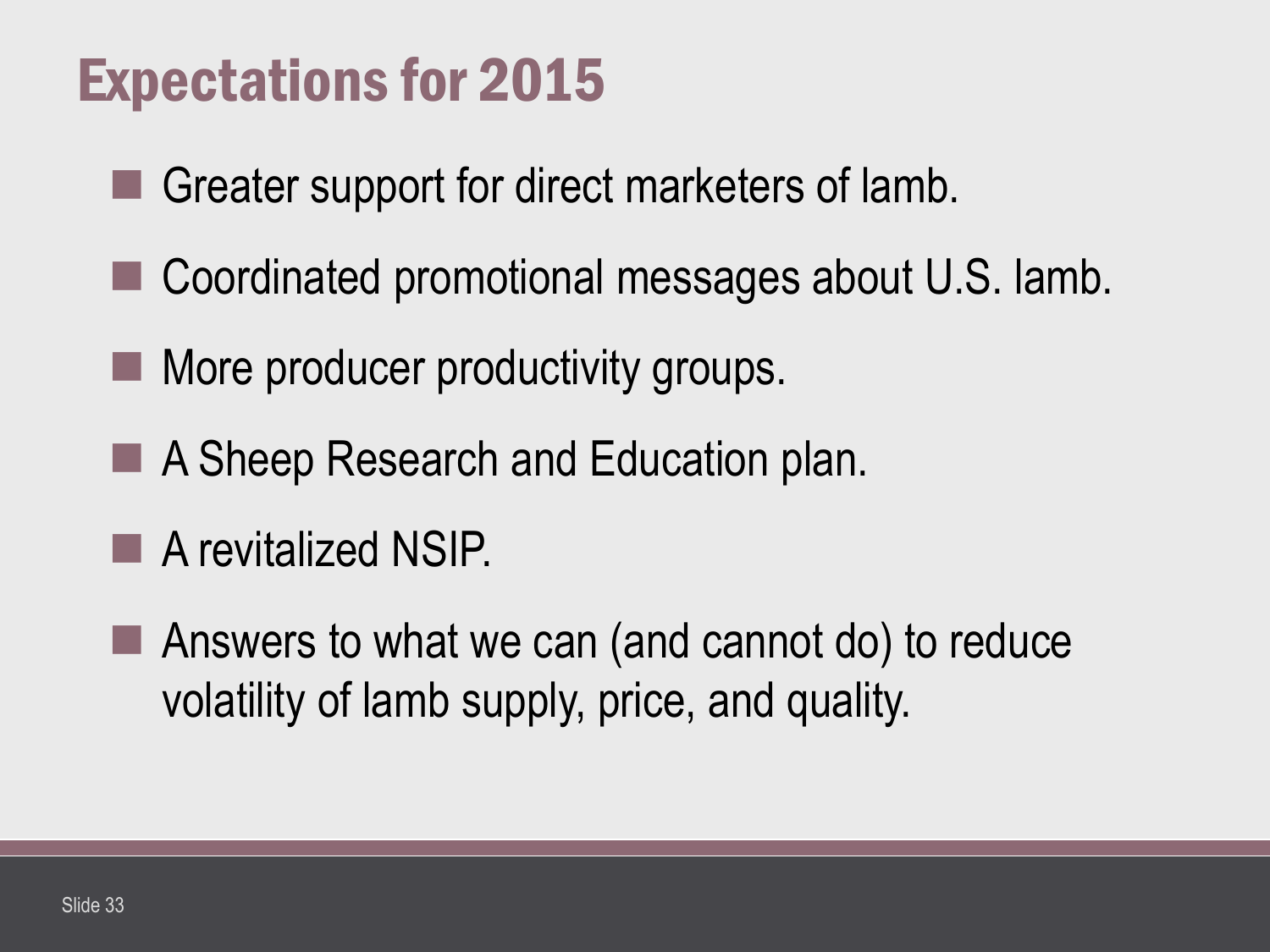## Expectations for 2015

- Greater support for direct marketers of lamb.
- Coordinated promotional messages about U.S. lamb.
- **More producer productivity groups.**
- A Sheep Research and Education plan.
- **A** revitalized NSIP.
- Answers to what we can (and cannot do) to reduce volatility of lamb supply, price, and quality.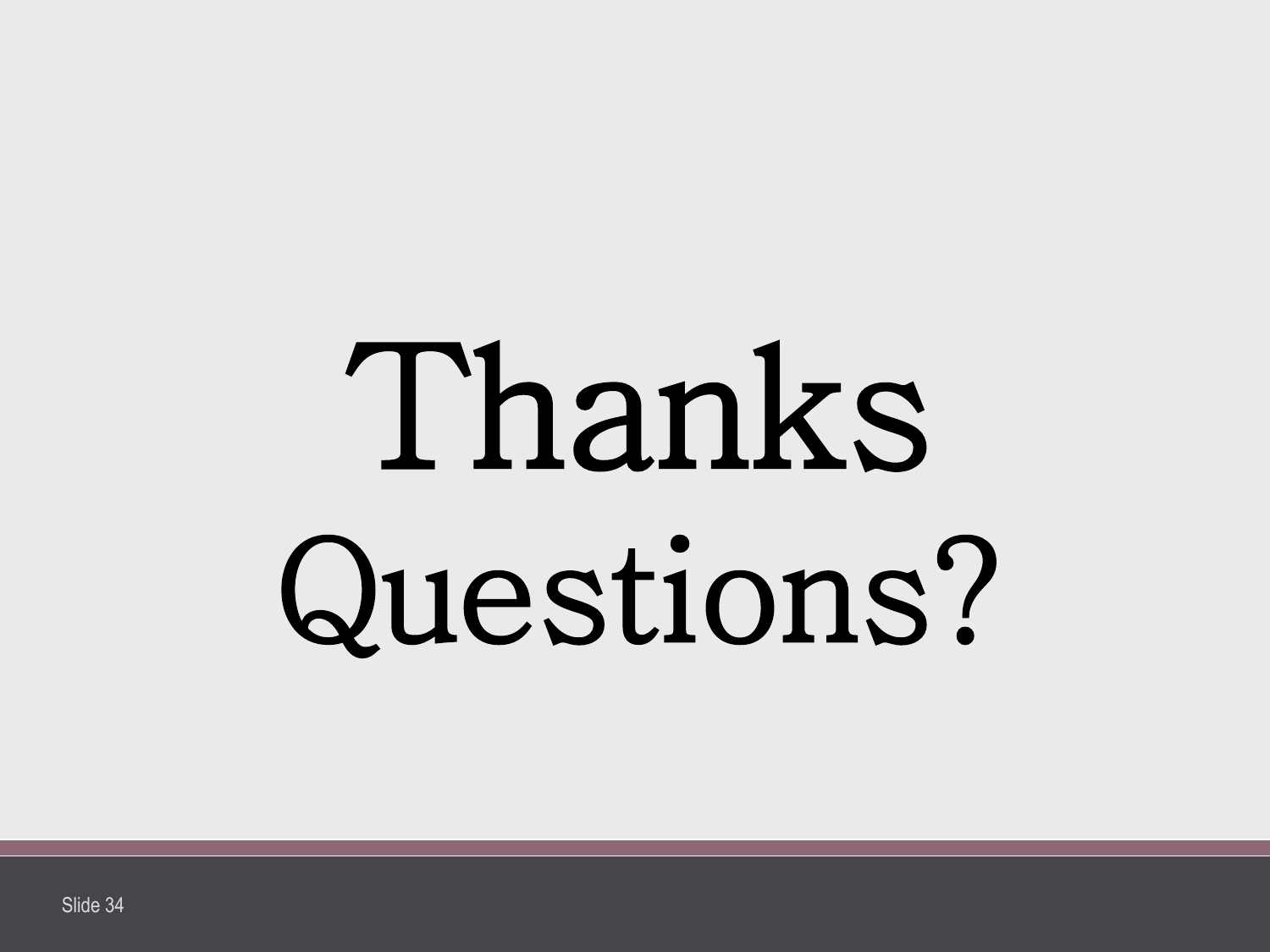# Thanks Questions?